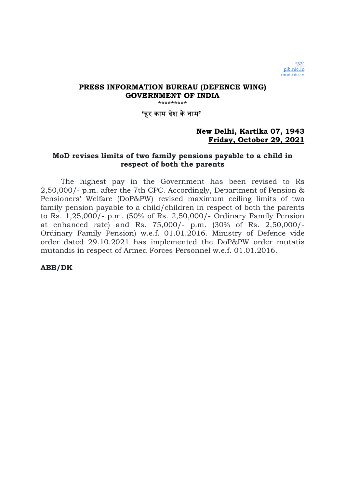\*\*\*\*\*\*\*\*\*

'हर काम दशे केनाम'

# New Delhi, Kartika 07, 1943 Friday, October 29, 2021

# MoD revises limits of two family pensions payable to a child in respect of both the parents

The highest pay in the Government has been revised to Rs 2,50,000/- p.m. after the 7th CPC. Accordingly, Department of Pension & Pensioners' Welfare (DoP&PW) revised maximum ceiling limits of two family pension payable to a child/children in respect of both the parents to Rs. 1,25,000/- p.m. (50% of Rs. 2,50,000/- Ordinary Family Pension at enhanced rate) and Rs. 75,000/- p.m. (30% of Rs. 2,50,000/- Ordinary Family Pension) w.e.f. 01.01.2016. Ministry of Defence vide order dated 29.10.2021 has implemented the DoP&PW order mutatis mutandis in respect of Armed Forces Personnel w.e.f. 01.01.2016.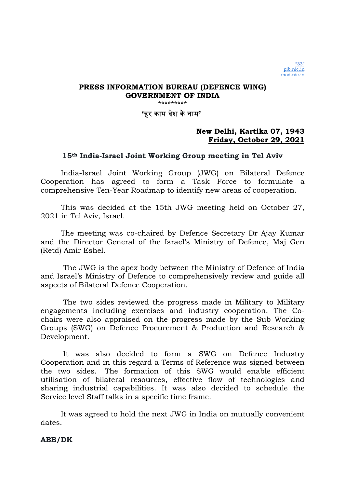'हर काम दशे केनाम'

# New Delhi, Kartika 07, 1943 Friday, October 29, 2021

# 15th India-Israel Joint Working Group meeting in Tel Aviv

India-Israel Joint Working Group (JWG) on Bilateral Defence Cooperation has agreed to form a Task Force to formulate a comprehensive Ten-Year Roadmap to identify new areas of cooperation.

This was decided at the 15th JWG meeting held on October 27, 2021 in Tel Aviv, Israel.

The meeting was co-chaired by Defence Secretary Dr Ajay Kumar and the Director General of the Israel's Ministry of Defence, Maj Gen (Retd) Amir Eshel.

 The JWG is the apex body between the Ministry of Defence of India and Israel's Ministry of Defence to comprehensively review and guide all aspects of Bilateral Defence Cooperation.

 The two sides reviewed the progress made in Military to Military engagements including exercises and industry cooperation. The Cochairs were also appraised on the progress made by the Sub Working Groups (SWG) on Defence Procurement & Production and Research & Development.

 It was also decided to form a SWG on Defence Industry Cooperation and in this regard a Terms of Reference was signed between the two sides. The formation of this SWG would enable efficient utilisation of bilateral resources, effective flow of technologies and sharing industrial capabilities. It was also decided to schedule the Service level Staff talks in a specific time frame.

It was agreed to hold the next JWG in India on mutually convenient dates.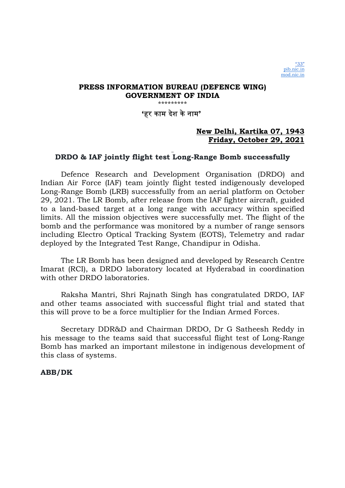\*\*\*\*\*\*\*\*\*

'हर काम दशे केनाम'

# New Delhi, Kartika 07, 1943 Friday, October 29, 2021

# DRDO & IAF jointly flight test Long-Range Bomb successfully

Defence Research and Development Organisation (DRDO) and Indian Air Force (IAF) team jointly flight tested indigenously developed Long-Range Bomb (LRB) successfully from an aerial platform on October 29, 2021. The LR Bomb, after release from the IAF fighter aircraft, guided to a land-based target at a long range with accuracy within specified limits. All the mission objectives were successfully met. The flight of the bomb and the performance was monitored by a number of range sensors including Electro Optical Tracking System (EOTS), Telemetry and radar deployed by the Integrated Test Range, Chandipur in Odisha.

The LR Bomb has been designed and developed by Research Centre Imarat (RCI), a DRDO laboratory located at Hyderabad in coordination with other DRDO laboratories.

Raksha Mantri, Shri Rajnath Singh has congratulated DRDO, IAF and other teams associated with successful flight trial and stated that this will prove to be a force multiplier for the Indian Armed Forces.

Secretary DDR&D and Chairman DRDO, Dr G Satheesh Reddy in his message to the teams said that successful flight test of Long-Range Bomb has marked an important milestone in indigenous development of this class of systems.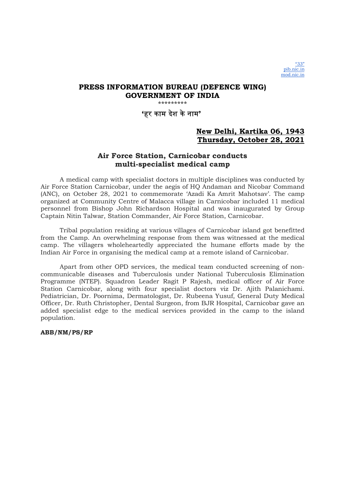\*\*\*\*\*\*\*\*\*

'हर काम दशे केनाम'

## New Delhi, Kartika 06, 1943 Thursday, October 28, 2021

# Air Force Station, Carnicobar conducts multi-specialist medical camp

A medical camp with specialist doctors in multiple disciplines was conducted by Air Force Station Carnicobar, under the aegis of HQ Andaman and Nicobar Command (ANC), on October 28, 2021 to commemorate 'Azadi Ka Amrit Mahotsav'. The camp organized at Community Centre of Malacca village in Carnicobar included 11 medical personnel from Bishop John Richardson Hospital and was inaugurated by Group Captain Nitin Talwar, Station Commander, Air Force Station, Carnicobar.

Tribal population residing at various villages of Carnicobar island got benefitted from the Camp. An overwhelming response from them was witnessed at the medical camp. The villagers wholeheartedly appreciated the humane efforts made by the Indian Air Force in organising the medical camp at a remote island of Carnicobar.

Apart from other OPD services, the medical team conducted screening of noncommunicable diseases and Tuberculosis under National Tuberculosis Elimination Programme (NTEP). Squadron Leader Ragit P Rajesh, medical officer of Air Force Station Carnicobar, along with four specialist doctors viz Dr. Ajith Palanichami. Pediatrician, Dr. Poornima, Dermatologist, Dr. Rubeena Yusuf, General Duty Medical Officer, Dr. Ruth Christopher, Dental Surgeon, from BJR Hospital, Carnicobar gave an added specialist edge to the medical services provided in the camp to the island population.

ABB/NM/PS/RP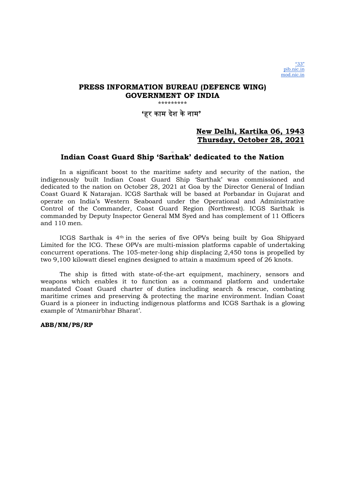\*\*\*\*\*\*\*\*\*

'हर काम दशे केनाम'

# New Delhi, Kartika 06, 1943 Thursday, October 28, 2021

## Indian Coast Guard Ship 'Sarthak' dedicated to the Nation

In a significant boost to the maritime safety and security of the nation, the indigenously built Indian Coast Guard Ship 'Sarthak' was commissioned and dedicated to the nation on October 28, 2021 at Goa by the Director General of Indian Coast Guard K Natarajan. ICGS Sarthak will be based at Porbandar in Gujarat and operate on India's Western Seaboard under the Operational and Administrative Control of the Commander, Coast Guard Region (Northwest). ICGS Sarthak is commanded by Deputy Inspector General MM Syed and has complement of 11 Officers and 110 men.

ICGS Sarthak is 4th in the series of five OPVs being built by Goa Shipyard Limited for the ICG. These OPVs are multi-mission platforms capable of undertaking concurrent operations. The 105-meter-long ship displacing 2,450 tons is propelled by two 9,100 kilowatt diesel engines designed to attain a maximum speed of 26 knots.

The ship is fitted with state-of-the-art equipment, machinery, sensors and weapons which enables it to function as a command platform and undertake mandated Coast Guard charter of duties including search & rescue, combating maritime crimes and preserving & protecting the marine environment. Indian Coast Guard is a pioneer in inducting indigenous platforms and ICGS Sarthak is a glowing example of 'Atmanirbhar Bharat'.

ABB/NM/PS/RP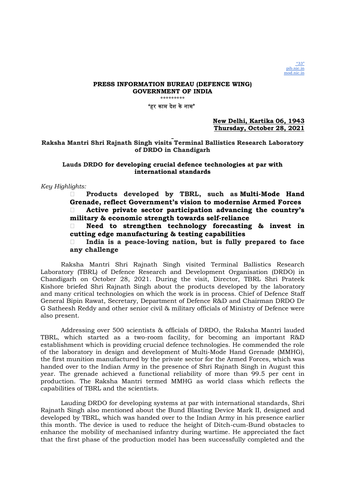### 'हर काम दशे केनाम'

New Delhi, Kartika 06, 1943 Thursday, October 28, 2021

### Raksha Mantri Shri Rajnath Singh visits Terminal Ballistics Research Laboratory of DRDO in Chandigarh

### Lauds DRDO for developing crucial defence technologies at par with international standards

### Key Highlights:

 Products developed by TBRL, such as Multi-Mode Hand Grenade, reflect Government's vision to modernise Armed Forces Active private sector participation advancing the country's military & economic strength towards self-reliance

 Need to strengthen technology forecasting & invest in cutting edge manufacturing & testing capabilities

India is a peace-loving nation, but is fully prepared to face any challenge

Raksha Mantri Shri Rajnath Singh visited Terminal Ballistics Research Laboratory (TBRL) of Defence Research and Development Organisation (DRDO) in Chandigarh on October 28, 2021. During the visit, Director, TBRL Shri Prateek Kishore briefed Shri Rajnath Singh about the products developed by the laboratory and many critical technologies on which the work is in process. Chief of Defence Staff General Bipin Rawat, Secretary, Department of Defence R&D and Chairman DRDO Dr G Satheesh Reddy and other senior civil & military officials of Ministry of Defence were also present.

Addressing over 500 scientists & officials of DRDO, the Raksha Mantri lauded TBRL, which started as a two-room facility, for becoming an important R&D establishment which is providing crucial defence technologies. He commended the role of the laboratory in design and development of Multi-Mode Hand Grenade (MMHG), the first munition manufactured by the private sector for the Armed Forces, which was handed over to the Indian Army in the presence of Shri Rajnath Singh in August this year. The grenade achieved a functional reliability of more than 99.5 per cent in production. The Raksha Mantri termed MMHG as world class which reflects the capabilities of TBRL and the scientists.

Lauding DRDO for developing systems at par with international standards, Shri Rajnath Singh also mentioned about the Bund Blasting Device Mark II, designed and developed by TBRL, which was handed over to the Indian Army in his presence earlier this month. The device is used to reduce the height of Ditch-cum-Bund obstacles to enhance the mobility of mechanised infantry during wartime. He appreciated the fact that the first phase of the production model has been successfully completed and the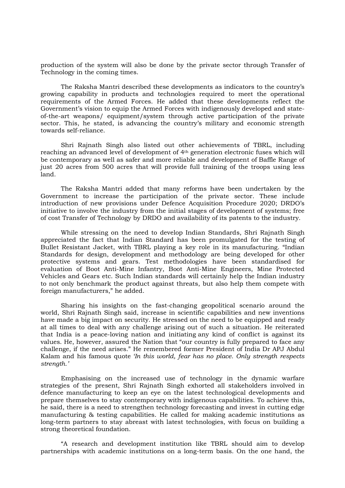production of the system will also be done by the private sector through Transfer of Technology in the coming times.

The Raksha Mantri described these developments as indicators to the country's growing capability in products and technologies required to meet the operational requirements of the Armed Forces. He added that these developments reflect the Government's vision to equip the Armed Forces with indigenously developed and stateof-the-art weapons/ equipment/system through active participation of the private sector. This, he stated, is advancing the country's military and economic strength towards self-reliance.

Shri Rajnath Singh also listed out other achievements of TBRL, including reaching an advanced level of development of 4th generation electronic fuses which will be contemporary as well as safer and more reliable and development of Baffle Range of just 20 acres from 500 acres that will provide full training of the troops using less land.

The Raksha Mantri added that many reforms have been undertaken by the Government to increase the participation of the private sector. These include introduction of new provisions under Defence Acquisition Procedure 2020; DRDO's initiative to involve the industry from the initial stages of development of systems; free of cost Transfer of Technology by DRDO and availability of its patents to the industry.

While stressing on the need to develop Indian Standards, Shri Rajnath Singh appreciated the fact that Indian Standard has been promulgated for the testing of Bullet Resistant Jacket, with TBRL playing a key role in its manufacturing. "Indian Standards for design, development and methodology are being developed for other protective systems and gears. Test methodologies have been standardised for evaluation of Boot Anti-Mine Infantry, Boot Anti-Mine Engineers, Mine Protected Vehicles and Gears etc. Such Indian standards will certainly help the Indian industry to not only benchmark the product against threats, but also help them compete with foreign manufacturers," he added.

Sharing his insights on the fast-changing geopolitical scenario around the world, Shri Rajnath Singh said, increase in scientific capabilities and new inventions have made a big impact on security. He stressed on the need to be equipped and ready at all times to deal with any challenge arising out of such a situation. He reiterated that India is a peace-loving nation and initiating any kind of conflict is against its values. He, however, assured the Nation that "our country is fully prepared to face any challenge, if the need arises." He remembered former President of India Dr APJ Abdul Kalam and his famous quote 'In this world, fear has no place. Only strength respects strength.'

Emphasising on the increased use of technology in the dynamic warfare strategies of the present, Shri Rajnath Singh exhorted all stakeholders involved in defence manufacturing to keep an eye on the latest technological developments and prepare themselves to stay contemporary with indigenous capabilities. To achieve this, he said, there is a need to strengthen technology forecasting and invest in cutting edge manufacturing & testing capabilities. He called for making academic institutions as long-term partners to stay abreast with latest technologies, with focus on building a strong theoretical foundation.

"A research and development institution like TBRL should aim to develop partnerships with academic institutions on a long-term basis. On the one hand, the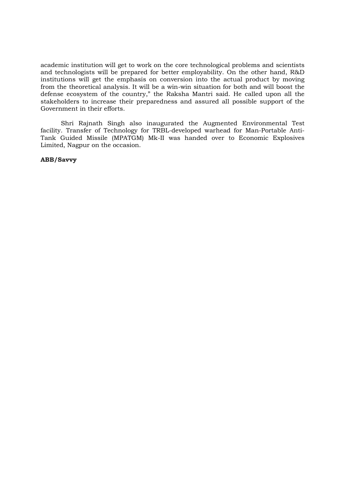academic institution will get to work on the core technological problems and scientists and technologists will be prepared for better employability. On the other hand, R&D institutions will get the emphasis on conversion into the actual product by moving from the theoretical analysis. It will be a win-win situation for both and will boost the defense ecosystem of the country," the Raksha Mantri said. He called upon all the stakeholders to increase their preparedness and assured all possible support of the Government in their efforts.

Shri Rajnath Singh also inaugurated the Augmented Environmental Test facility. Transfer of Technology for TRBL-developed warhead for Man-Portable Anti-Tank Guided Missile (MPATGM) Mk-II was handed over to Economic Explosives Limited, Nagpur on the occasion.

ABB/Savvy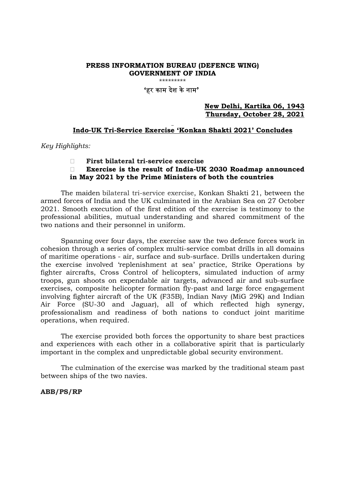\*\*\*\*\*\*\*\*\*

# 'हर काम देश केनाम'

### New Delhi, Kartika 06, 1943 Thursday, October 28, 2021

### Indo-UK Tri-Service Exercise 'Konkan Shakti 2021' Concludes

Key Highlights:

First bilateral tri-service exercise

### Exercise is the result of India-UK 2030 Roadmap announced in May 2021 by the Prime Ministers of both the countries

The maiden bilateral tri-service exercise, Konkan Shakti 21, between the armed forces of India and the UK culminated in the Arabian Sea on 27 October 2021. Smooth execution of the first edition of the exercise is testimony to the professional abilities, mutual understanding and shared commitment of the two nations and their personnel in uniform.

Spanning over four days, the exercise saw the two defence forces work in cohesion through a series of complex multi-service combat drills in all domains of maritime operations - air, surface and sub-surface. Drills undertaken during the exercise involved 'replenishment at sea' practice, Strike Operations by fighter aircrafts, Cross Control of helicopters, simulated induction of army troops, gun shoots on expendable air targets, advanced air and sub-surface exercises, composite helicopter formation fly-past and large force engagement involving fighter aircraft of the UK (F35B), Indian Navy (MiG 29K) and Indian Air Force (SU-30 and Jaguar), all of which reflected high synergy, professionalism and readiness of both nations to conduct joint maritime operations, when required.

The exercise provided both forces the opportunity to share best practices and experiences with each other in a collaborative spirit that is particularly important in the complex and unpredictable global security environment.

The culmination of the exercise was marked by the traditional steam past between ships of the two navies.

### ABB/PS/RP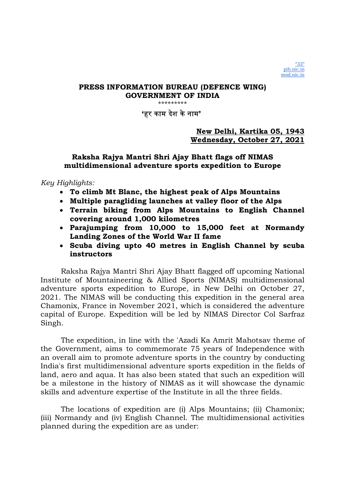\*\*\*\*\*\*\*\*\*

'हर काम दशे केनाम'

# New Delhi, Kartika 05, 1943 Wednesday, October 27, 2021

# Raksha Rajya Mantri Shri Ajay Bhatt flags off NIMAS multidimensional adventure sports expedition to Europe

Key Highlights:

- To climb Mt Blanc, the highest peak of Alps Mountains
- Multiple paragliding launches at valley floor of the Alps
- Terrain biking from Alps Mountains to English Channel covering around 1,000 kilometres
- Parajumping from 10,000 to 15,000 feet at Normandy Landing Zones of the World War II fame
- Scuba diving upto 40 metres in English Channel by scuba instructors

Raksha Rajya Mantri Shri Ajay Bhatt flagged off upcoming National Institute of Mountaineering & Allied Sports (NIMAS) multidimensional adventure sports expedition to Europe, in New Delhi on October 27, 2021. The NIMAS will be conducting this expedition in the general area Chamonix, France in November 2021, which is considered the adventure capital of Europe. Expedition will be led by NIMAS Director Col Sarfraz Singh.

The expedition, in line with the 'Azadi Ka Amrit Mahotsav theme of the Government, aims to commemorate 75 years of Independence with an overall aim to promote adventure sports in the country by conducting India's first multidimensional adventure sports expedition in the fields of land, aero and aqua. It has also been stated that such an expedition will be a milestone in the history of NIMAS as it will showcase the dynamic skills and adventure expertise of the Institute in all the three fields.

The locations of expedition are (i) Alps Mountains; (ii) Chamonix; (iii) Normandy and (iv) English Channel. The multidimensional activities planned during the expedition are as under: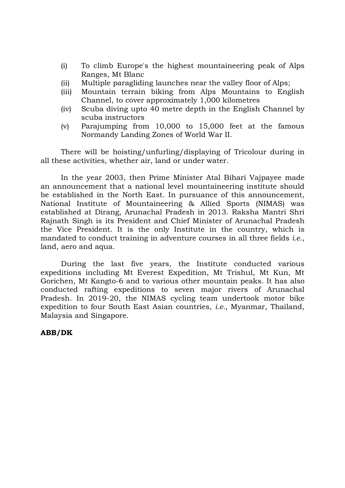- (i) To climb Europe's the highest mountaineering peak of Alps Ranges, Mt Blanc
- (ii) Multiple paragliding launches near the valley floor of Alps;
- (iii) Mountain terrain biking from Alps Mountains to English Channel, to cover approximately 1,000 kilometres
- (iv) Scuba diving upto 40 metre depth in the English Channel by scuba instructors
- (v) Parajumping from 10,000 to 15,000 feet at the famous Normandy Landing Zones of World War II.

There will be hoisting/unfurling/displaying of Tricolour during in all these activities, whether air, land or under water.

In the year 2003, then Prime Minister Atal Bihari Vajpayee made an announcement that a national level mountaineering institute should be established in the North East. In pursuance of this announcement, National Institute of Mountaineering & Allied Sports (NIMAS) was established at Dirang, Arunachal Pradesh in 2013. Raksha Mantri Shri Rajnath Singh is its President and Chief Minister of Arunachal Pradesh the Vice President. It is the only Institute in the country, which is mandated to conduct training in adventure courses in all three fields *i.e.*, land, aero and aqua.

During the last five years, the Institute conducted various expeditions including Mt Everest Expedition, Mt Trishul, Mt Kun, Mt Gorichen, Mt Kangto-6 and to various other mountain peaks. It has also conducted rafting expeditions to seven major rivers of Arunachal Pradesh. In 2019-20, the NIMAS cycling team undertook motor bike expedition to four South East Asian countries, i.e., Myanmar, Thailand, Malaysia and Singapore.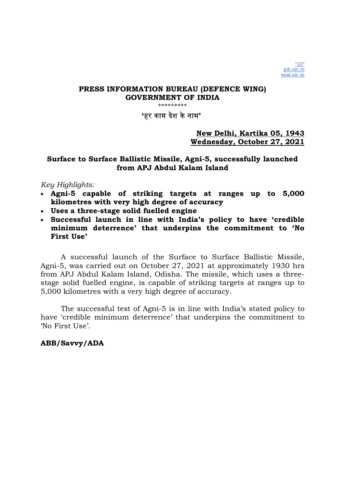'हर काम दशे केनाम'

# New Delhi, Kartika 05, 1943 Wednesday, October 27, 2021

# Surface to Surface Ballistic Missile, Agni-5, successfully launched from APJ Abdul Kalam Island

# Key Highlights:

- Agni-5 capable of striking targets at ranges up to 5,000 kilometres with very high degree of accuracy
- Uses a three-stage solid fuelled engine
- Successful launch in line with India's policy to have 'credible minimum deterrence' that underpins the commitment to 'No First Use'

A successful launch of the Surface to Surface Ballistic Missile, Agni-5, was carried out on October 27, 2021 at approximately 1930 hrs from APJ Abdul Kalam Island, Odisha. The missile, which uses a threestage solid fuelled engine, is capable of striking targets at ranges up to 5,000 kilometres with a very high degree of accuracy.

The successful test of Agni-5 is in line with India's stated policy to have 'credible minimum deterrence' that underpins the commitment to 'No First Use'.

# ABB/Savvy/ADA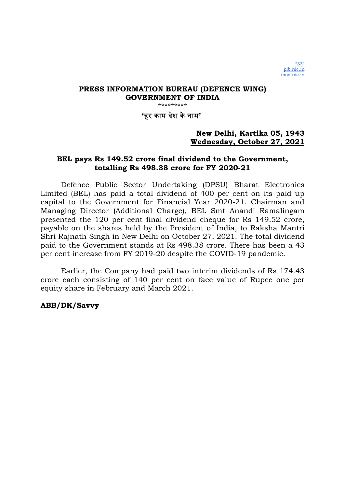## 'हर काम दशे केनाम'

# New Delhi, Kartika 05, 1943 Wednesday, October 27, 2021

## BEL pays Rs 149.52 crore final dividend to the Government, totalling Rs 498.38 crore for FY 2020-21

Defence Public Sector Undertaking (DPSU) Bharat Electronics Limited (BEL) has paid a total dividend of 400 per cent on its paid up capital to the Government for Financial Year 2020-21. Chairman and Managing Director (Additional Charge), BEL Smt Anandi Ramalingam presented the 120 per cent final dividend cheque for Rs 149.52 crore, payable on the shares held by the President of India, to Raksha Mantri Shri Rajnath Singh in New Delhi on October 27, 2021. The total dividend paid to the Government stands at Rs 498.38 crore. There has been a 43 per cent increase from FY 2019-20 despite the COVID-19 pandemic.

Earlier, the Company had paid two interim dividends of Rs 174.43 crore each consisting of 140 per cent on face value of Rupee one per equity share in February and March 2021.

## ABB/DK/Savvy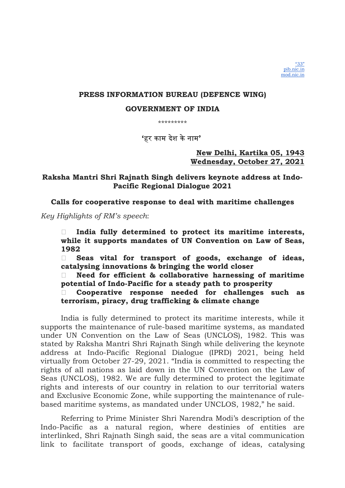## PRESS INFORMATION BUREAU (DEFENCE WING)

### GOVERNMENT OF INDIA

\*\*\*\*\*\*\*\*\*

'हर काम दशे केनाम'

## New Delhi, Kartika 05, 1943 Wednesday, October 27, 2021

# Raksha Mantri Shri Rajnath Singh delivers keynote address at Indo-Pacific Regional Dialogue 2021

Calls for cooperative response to deal with maritime challenges

Key Highlights of RM's speech:

 $\Box$  India fully determined to protect its maritime interests, while it supports mandates of UN Convention on Law of Seas, 1982

 $\Box$  Seas vital for transport of goods, exchange of ideas, catalysing innovations & bringing the world closer

 $\Box$  Need for efficient & collaborative harnessing of maritime potential of Indo-Pacific for a steady path to prosperity

 Cooperative response needed for challenges such as terrorism, piracy, drug trafficking & climate change

India is fully determined to protect its maritime interests, while it supports the maintenance of rule-based maritime systems, as mandated under UN Convention on the Law of Seas (UNCLOS), 1982. This was stated by Raksha Mantri Shri Rajnath Singh while delivering the keynote address at Indo-Pacific Regional Dialogue (IPRD) 2021, being held virtually from October 27-29, 2021. "India is committed to respecting the rights of all nations as laid down in the UN Convention on the Law of Seas (UNCLOS), 1982. We are fully determined to protect the legitimate rights and interests of our country in relation to our territorial waters and Exclusive Economic Zone, while supporting the maintenance of rulebased maritime systems, as mandated under UNCLOS, 1982," he said.

Referring to Prime Minister Shri Narendra Modi's description of the Indo-Pacific as a natural region, where destinies of entities are interlinked, Shri Rajnath Singh said, the seas are a vital communication link to facilitate transport of goods, exchange of ideas, catalysing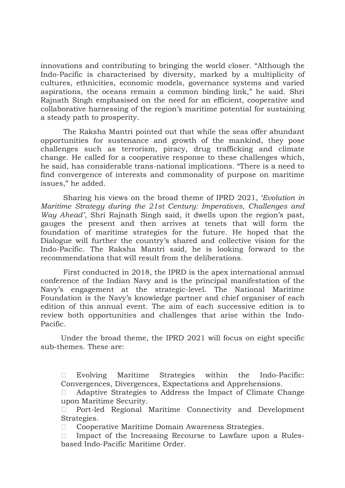innovations and contributing to bringing the world closer. "Although the Indo-Pacific is characterised by diversity, marked by a multiplicity of cultures, ethnicities, economic models, governance systems and varied aspirations, the oceans remain a common binding link," he said. Shri Rajnath Singh emphasised on the need for an efficient, cooperative and collaborative harnessing of the region's maritime potential for sustaining a steady path to prosperity.

 The Raksha Mantri pointed out that while the seas offer abundant opportunities for sustenance and growth of the mankind, they pose challenges such as terrorism, piracy, drug trafficking and climate change. He called for a cooperative response to these challenges which, he said, has considerable trans-national implications. "There is a need to find convergence of interests and commonality of purpose on maritime issues," he added.

 Sharing his views on the broad theme of IPRD 2021, 'Evolution in Maritime Strategy during the 21st Century: Imperatives, Challenges and Way Ahead', Shri Rajnath Singh said, it dwells upon the region's past, gauges the present and then arrives at tenets that will form the foundation of maritime strategies for the future. He hoped that the Dialogue will further the country's shared and collective vision for the Indo-Pacific. The Raksha Mantri said, he is looking forward to the recommendations that will result from the deliberations.

 First conducted in 2018, the IPRD is the apex international annual conference of the Indian Navy and is the principal manifestation of the Navy's engagement at the strategic-level. The National Maritime Foundation is the Navy's knowledge partner and chief organiser of each edition of this annual event. The aim of each successive edition is to review both opportunities and challenges that arise within the Indo-Pacific.

Under the broad theme, the IPRD 2021 will focus on eight specific sub-themes. These are:

 Evolving Maritime Strategies within the Indo-Pacific: Convergences, Divergences, Expectations and Apprehensions.

 Adaptive Strategies to Address the Impact of Climate Change upon Maritime Security.

 Port-led Regional Maritime Connectivity and Development Strategies.

Cooperative Maritime Domain Awareness Strategies.

 $\Box$  Impact of the Increasing Recourse to Lawfare upon a Rulesbased Indo-Pacific Maritime Order.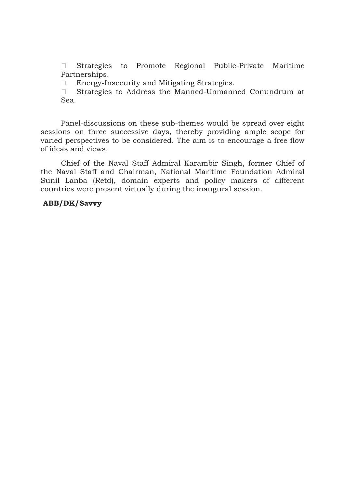Strategies to Promote Regional Public-Private Maritime Partnerships.

□ Energy-Insecurity and Mitigating Strategies.

 Strategies to Address the Manned-Unmanned Conundrum at Sea.

Panel-discussions on these sub-themes would be spread over eight sessions on three successive days, thereby providing ample scope for varied perspectives to be considered. The aim is to encourage a free flow of ideas and views.

Chief of the Naval Staff Admiral Karambir Singh, former Chief of the Naval Staff and Chairman, National Maritime Foundation Admiral Sunil Lanba (Retd), domain experts and policy makers of different countries were present virtually during the inaugural session.

## ABB/DK/Savvy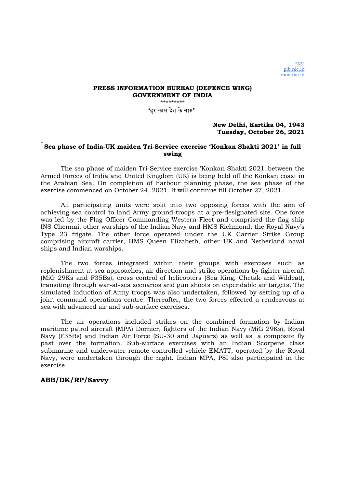'हर काम दशे केनाम'

### New Delhi, Kartika 04, 1943 Tuesday, October 26, 2021

### Sea phase of India-UK maiden Tri-Service exercise 'Konkan Shakti 2021' in full swing

The sea phase of maiden Tri-Service exercise 'Konkan Shakti 2021' between the Armed Forces of India and United Kingdom (UK) is being held off the Konkan coast in the Arabian Sea. On completion of harbour planning phase, the sea phase of the exercise commenced on October 24, 2021. It will continue till October 27, 2021.

All participating units were split into two opposing forces with the aim of achieving sea control to land Army ground-troops at a pre-designated site. One force was led by the Flag Officer Commanding Western Fleet and comprised the flag ship INS Chennai, other warships of the Indian Navy and HMS Richmond, the Royal Navy's Type 23 frigate. The other force operated under the UK Carrier Strike Group comprising aircraft carrier, HMS Queen Elizabeth, other UK and Netherland naval ships and Indian warships.

The two forces integrated within their groups with exercises such as replenishment at sea approaches, air direction and strike operations by fighter aircraft (MiG 29Ks and F35Bs), cross control of helicopters (Sea King, Chetak and Wildcat), transiting through war-at-sea scenarios and gun shoots on expendable air targets. The simulated induction of Army troops was also undertaken, followed by setting up of a joint command operations centre. Thereafter, the two forces effected a rendezvous at sea with advanced air and sub-surface exercises.

The air operations included strikes on the combined formation by Indian maritime patrol aircraft (MPA) Dornier, fighters of the Indian Navy (MiG 29Ks), Royal Navy (F35Bs) and Indian Air Force (SU-30 and Jaguars) as well as a composite fly past over the formation. Sub-surface exercises with an Indian Scorpene class submarine and underwater remote controlled vehicle EMATT, operated by the Royal Navy, were undertaken through the night. Indian MPA, P8I also participated in the exercise.

### ABB/DK/RP/Savvy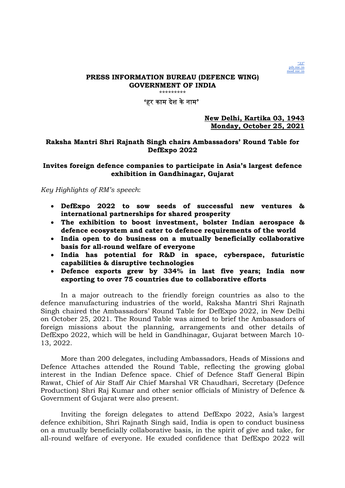

## 'हर काम देश केनाम'

New Delhi, Kartika 03, 1943 Monday, October 25, 2021

### Raksha Mantri Shri Rajnath Singh chairs Ambassadors' Round Table for DefExpo 2022

### Invites foreign defence companies to participate in Asia's largest defence exhibition in Gandhinagar, Gujarat

Key Highlights of RM's speech:

- DefExpo 2022 to sow seeds of successful new ventures & international partnerships for shared prosperity
- The exhibition to boost investment, bolster Indian aerospace & defence ecosystem and cater to defence requirements of the world
- India open to do business on a mutually beneficially collaborative basis for all-round welfare of everyone
- India has potential for R&D in space, cyberspace, futuristic capabilities & disruptive technologies
- Defence exports grew by 334% in last five years; India now exporting to over 75 countries due to collaborative efforts

In a major outreach to the friendly foreign countries as also to the defence manufacturing industries of the world, Raksha Mantri Shri Rajnath Singh chaired the Ambassadors' Round Table for DefExpo 2022, in New Delhi on October 25, 2021. The Round Table was aimed to brief the Ambassadors of foreign missions about the planning, arrangements and other details of DefExpo 2022, which will be held in Gandhinagar, Gujarat between March 10- 13, 2022.

More than 200 delegates, including Ambassadors, Heads of Missions and Defence Attaches attended the Round Table, reflecting the growing global interest in the Indian Defence space. Chief of Defence Staff General Bipin Rawat, Chief of Air Staff Air Chief Marshal VR Chaudhari, Secretary (Defence Production) Shri Raj Kumar and other senior officials of Ministry of Defence & Government of Gujarat were also present.

Inviting the foreign delegates to attend DefExpo 2022, Asia's largest defence exhibition, Shri Rajnath Singh said, India is open to conduct business on a mutually beneficially collaborative basis, in the spirit of give and take, for all-round welfare of everyone. He exuded confidence that DefExpo 2022 will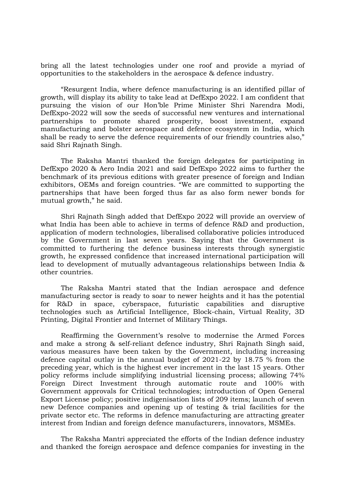bring all the latest technologies under one roof and provide a myriad of opportunities to the stakeholders in the aerospace & defence industry.

"Resurgent India, where defence manufacturing is an identified pillar of growth, will display its ability to take lead at DefExpo 2022. I am confident that pursuing the vision of our Hon'ble Prime Minister Shri Narendra Modi, DefExpo-2022 will sow the seeds of successful new ventures and international partnerships to promote shared prosperity, boost investment, expand manufacturing and bolster aerospace and defence ecosystem in India, which shall be ready to serve the defence requirements of our friendly countries also," said Shri Rajnath Singh.

The Raksha Mantri thanked the foreign delegates for participating in DefExpo 2020 & Aero India 2021 and said DefExpo 2022 aims to further the benchmark of its previous editions with greater presence of foreign and Indian exhibitors, OEMs and foreign countries. "We are committed to supporting the partnerships that have been forged thus far as also form newer bonds for mutual growth," he said.

Shri Rajnath Singh added that DefExpo 2022 will provide an overview of what India has been able to achieve in terms of defence R&D and production, application of modern technologies, liberalised collaborative policies introduced by the Government in last seven years. Saying that the Government is committed to furthering the defence business interests through synergistic growth, he expressed confidence that increased international participation will lead to development of mutually advantageous relationships between India & other countries.

The Raksha Mantri stated that the Indian aerospace and defence manufacturing sector is ready to soar to newer heights and it has the potential for R&D in space, cyberspace, futuristic capabilities and disruptive technologies such as Artificial Intelligence, Block-chain, Virtual Reality, 3D Printing, Digital Frontier and Internet of Military Things.

Reaffirming the Government's resolve to modernise the Armed Forces and make a strong & self-reliant defence industry, Shri Rajnath Singh said, various measures have been taken by the Government, including increasing defence capital outlay in the annual budget of 2021-22 by 18.75 % from the preceding year, which is the highest ever increment in the last 15 years. Other policy reforms include simplifying industrial licensing process; allowing 74% Foreign Direct Investment through automatic route and 100% with Government approvals for Critical technologies; introduction of Open General Export License policy; positive indigenisation lists of 209 items; launch of seven new Defence companies and opening up of testing & trial facilities for the private sector etc. The reforms in defence manufacturing are attracting greater interest from Indian and foreign defence manufacturers, innovators, MSMEs.

The Raksha Mantri appreciated the efforts of the Indian defence industry and thanked the foreign aerospace and defence companies for investing in the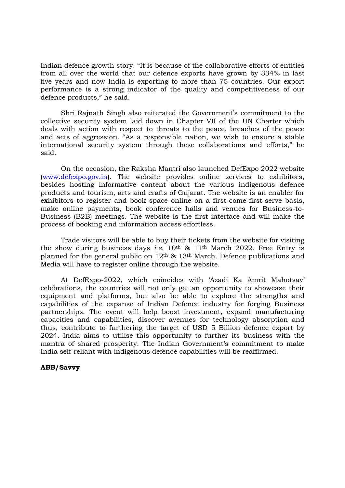Indian defence growth story. "It is because of the collaborative efforts of entities from all over the world that our defence exports have grown by 334% in last five years and now India is exporting to more than 75 countries. Our export performance is a strong indicator of the quality and competitiveness of our defence products," he said.

Shri Rajnath Singh also reiterated the Government's commitment to the collective security system laid down in Chapter VII of the UN Charter which deals with action with respect to threats to the peace, breaches of the peace and acts of aggression. "As a responsible nation, we wish to ensure a stable international security system through these collaborations and efforts," he said.

On the occasion, the Raksha Mantri also launched DefExpo 2022 website (www.defexpo.gov.in). The website provides online services to exhibitors, besides hosting informative content about the various indigenous defence products and tourism, arts and crafts of Gujarat. The website is an enabler for exhibitors to register and book space online on a first-come-first-serve basis, make online payments, book conference halls and venues for Business-to-Business (B2B) meetings. The website is the first interface and will make the process of booking and information access effortless.

Trade visitors will be able to buy their tickets from the website for visiting the show during business days *i.e.* 10<sup>th</sup> & 11<sup>th</sup> March 2022. Free Entry is planned for the general public on  $12<sup>th</sup>$  &  $13<sup>th</sup>$  March. Defence publications and Media will have to register online through the website.

At DefExpo-2022, which coincides with 'Azadi Ka Amrit Mahotsav' celebrations, the countries will not only get an opportunity to showcase their equipment and platforms, but also be able to explore the strengths and capabilities of the expanse of Indian Defence industry for forging Business partnerships. The event will help boost investment, expand manufacturing capacities and capabilities, discover avenues for technology absorption and thus, contribute to furthering the target of USD 5 Billion defence export by 2024. India aims to utilise this opportunity to further its business with the mantra of shared prosperity. The Indian Government's commitment to make India self-reliant with indigenous defence capabilities will be reaffirmed.

### ABB/Savvy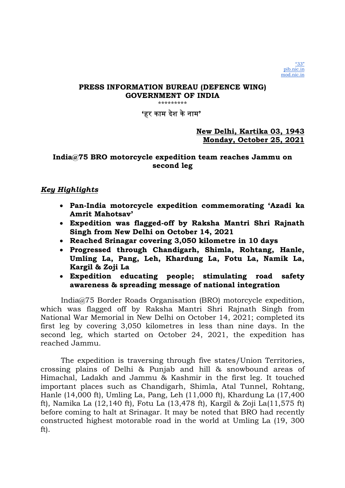\*\*\*\*\*\*\*\*\*

'हर काम दशे केनाम'

# New Delhi, Kartika 03, 1943 Monday, October 25, 2021

# India@75 BRO motorcycle expedition team reaches Jammu on second leg

# Key Highlights

- Pan-India motorcycle expedition commemorating 'Azadi ka Amrit Mahotsav'
- Expedition was flagged-off by Raksha Mantri Shri Rajnath Singh from New Delhi on October 14, 2021
- Reached Srinagar covering 3,050 kilometre in 10 days
- Progressed through Chandigarh, Shimla, Rohtang, Hanle, Umling La, Pang, Leh, Khardung La, Fotu La, Namik La, Kargil & Zoji La
- Expedition educating people; stimulating road safety awareness & spreading message of national integration

India@75 Border Roads Organisation (BRO) motorcycle expedition, which was flagged off by Raksha Mantri Shri Rajnath Singh from National War Memorial in New Delhi on October 14, 2021; completed its first leg by covering 3,050 kilometres in less than nine days. In the second leg, which started on October 24, 2021, the expedition has reached Jammu.

The expedition is traversing through five states/Union Territories, crossing plains of Delhi & Punjab and hill & snowbound areas of Himachal, Ladakh and Jammu & Kashmir in the first leg. It touched important places such as Chandigarh, Shimla, Atal Tunnel, Rohtang, Hanle (14,000 ft), Umling La, Pang, Leh (11,000 ft), Khardung La (17,400 ft), Namika La (12,140 ft), Fotu La (13,478 ft), Kargil & Zoji La(11,575 ft) before coming to halt at Srinagar. It may be noted that BRO had recently constructed highest motorable road in the world at Umling La (19, 300 ft).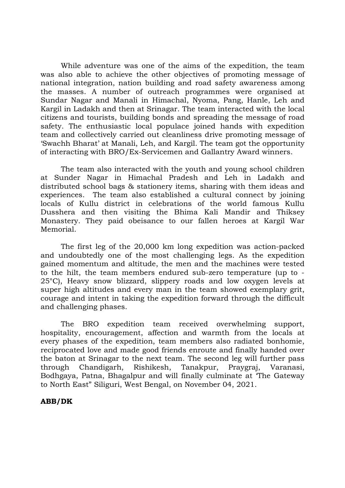While adventure was one of the aims of the expedition, the team was also able to achieve the other objectives of promoting message of national integration, nation building and road safety awareness among the masses. A number of outreach programmes were organised at Sundar Nagar and Manali in Himachal, Nyoma, Pang, Hanle, Leh and Kargil in Ladakh and then at Srinagar. The team interacted with the local citizens and tourists, building bonds and spreading the message of road safety. The enthusiastic local populace joined hands with expedition team and collectively carried out cleanliness drive promoting message of 'Swachh Bharat' at Manali, Leh, and Kargil. The team got the opportunity of interacting with BRO/Ex-Servicemen and Gallantry Award winners.

The team also interacted with the youth and young school children at Sunder Nagar in Himachal Pradesh and Leh in Ladakh and distributed school bags & stationery items, sharing with them ideas and experiences. The team also established a cultural connect by joining locals of Kullu district in celebrations of the world famous Kullu Dusshera and then visiting the Bhima Kali Mandir and Thiksey Monastery. They paid obeisance to our fallen heroes at Kargil War Memorial.

The first leg of the 20,000 km long expedition was action-packed and undoubtedly one of the most challenging legs. As the expedition gained momentum and altitude, the men and the machines were tested to the hilt, the team members endured sub-zero temperature (up to - 25°C), Heavy snow blizzard, slippery roads and low oxygen levels at super high altitudes and every man in the team showed exemplary grit, courage and intent in taking the expedition forward through the difficult and challenging phases.

The BRO expedition team received overwhelming support, hospitality, encouragement, affection and warmth from the locals at every phases of the expedition, team members also radiated bonhomie, reciprocated love and made good friends enroute and finally handed over the baton at Srinagar to the next team. The second leg will further pass through Chandigarh, Rishikesh, Tanakpur, Praygraj, Varanasi, Bodhgaya, Patna, Bhagalpur and will finally culminate at 'The Gateway to North East" Siliguri, West Bengal, on November 04, 2021.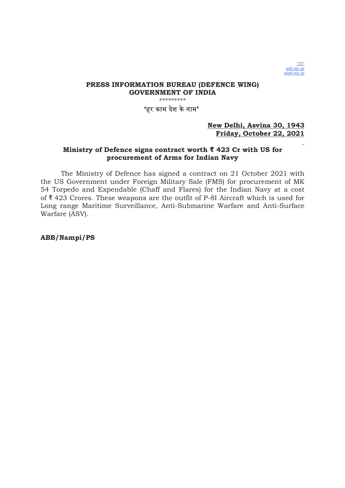

### PRESS INFORMATION BUREAU (DEFENCE WING) GOVERNMENT OF INDIA \*\*\*\*\*\*\*\*\* 'हर काम देश केनाम'

### New Delhi, Asvina 30, 1943 Friday, October 22, 2021

### Ministry of Defence signs contract worth ₹ 423 Cr with US for procurement of Arms for Indian Navy

The Ministry of Defence has signed a contract on 21 October 2021 with the US Government under Foreign Military Sale (FMS) for procurement of MK 54 Torpedo and Expendable (Chaff and Flares) for the Indian Navy at a cost of ₹ 423 Crores. These weapons are the outfit of P-8I Aircraft which is used for Long range Maritime Surveillance, Anti-Submarine Warfare and Anti-Surface Warfare (ASV).

ABB/Nampi/PS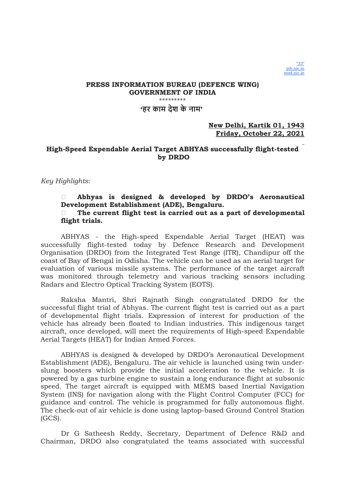### PRESS INFORMATION BUREAU (DEFENCE WING) GOVERNMENT OF INDIA \*\*\*\*\*\*\*\*\* 'हर काम देश के नाम'

### New Delhi, Kartik 01, 1943 Friday, October 22, 2021

## High-Speed Expendable Aerial Target ABHYAS successfully flight-tested by DRDO

### Key Highlights:

### Abhyas is designed & developed by DRDO's Aeronautical Development Establishment (ADE), Bengaluru.  $\Box$  The current flight test is carried out as a part of developmental flight trials.

ABHYAS - the High-speed Expendable Aerial Target (HEAT) was successfully flight-tested today by Defence Research and Development Organisation (DRDO) from the Integrated Test Range (ITR), Chandipur off the coast of Bay of Bengal in Odisha. The vehicle can be used as an aerial target for evaluation of various missile systems. The performance of the target aircraft was monitored through telemetry and various tracking sensors including Radars and Electro Optical Tracking System (EOTS).

Raksha Mantri, Shri Rajnath Singh congratulated DRDO for the successful flight trial of Abhyas. The current flight test is carried out as a part of developmental flight trials. Expression of interest for production of the vehicle has already been floated to Indian industries. This indigenous target aircraft, once developed, will meet the requirements of High-speed Expendable Aerial Targets (HEAT) for Indian Armed Forces.

ABHYAS is designed & developed by DRDO's Aeronautical Development Establishment (ADE), Bengaluru. The air vehicle is launched using twin underslung boosters which provide the initial acceleration to the vehicle. It is powered by a gas turbine engine to sustain a long endurance flight at subsonic speed. The target aircraft is equipped with MEMS based Inertial Navigation System (INS) for navigation along with the Flight Control Computer (FCC) for guidance and control. The vehicle is programmed for fully autonomous flight. The check-out of air vehicle is done using laptop-based Ground Control Station (GCS).

Dr G Satheesh Reddy, Secretary, Department of Defence R&D and Chairman, DRDO also congratulated the teams associated with successful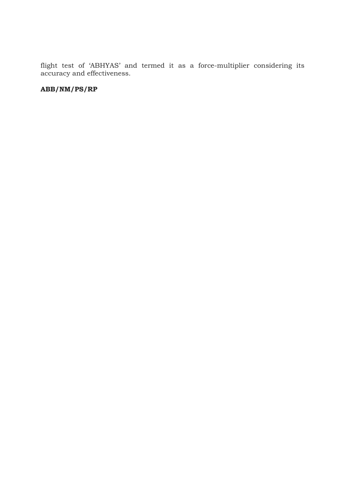flight test of 'ABHYAS' and termed it as a force-multiplier considering its accuracy and effectiveness.

# ABB/NM/PS/RP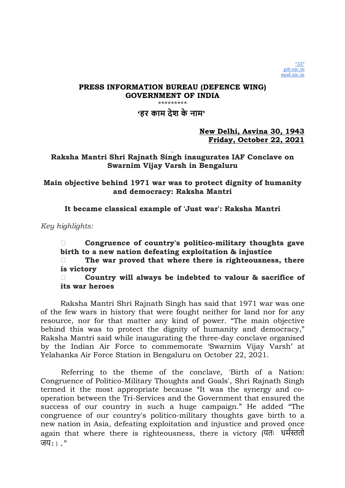'हर काम देश के नाम'

New Delhi, Asvina 30, 1943 Friday, October 22, 2021

Raksha Mantri Shri Rajnath Singh inaugurates IAF Conclave on Swarnim Vijay Varsh in Bengaluru

Main objective behind 1971 war was to protect dignity of humanity and democracy: Raksha Mantri

It became classical example of 'Just war': Raksha Mantri

Key highlights:

 Congruence of country's politico-military thoughts gave birth to a new nation defeating exploitation & injustice

 $\Box$  The war proved that where there is righteousness, there is victory

 Country will always be indebted to valour & sacrifice of its war heroes

Raksha Mantri Shri Rajnath Singh has said that 1971 war was one of the few wars in history that were fought neither for land nor for any resource, nor for that matter any kind of power. "The main objective behind this was to protect the dignity of humanity and democracy," Raksha Mantri said while inaugurating the three-day conclave organised by the Indian Air Force to commemorate 'Swarnim Vijay Varsh' at Yelahanka Air Force Station in Bengaluru on October 22, 2021.

Referring to the theme of the conclave, 'Birth of a Nation: Congruence of Politico-Military Thoughts and Goals', Shri Rajnath Singh termed it the most appropriate because "It was the synergy and cooperation between the Tri-Services and the Government that ensured the success of our country in such a huge campaign." He added "The congruence of our country's politico-military thoughts gave birth to a new nation in Asia, defeating exploitation and injustice and proved once again that where there is righteousness, there is victory (यतः धर्मस्ततो जय:)."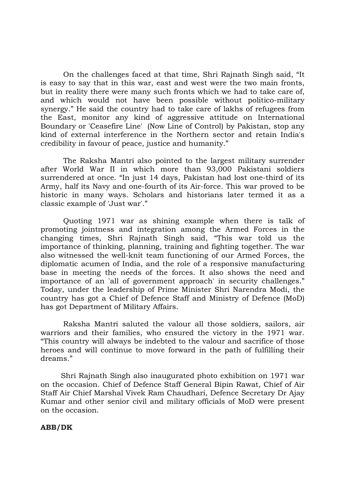On the challenges faced at that time, Shri Rajnath Singh said, "It is easy to say that in this war, east and west were the two main fronts, but in reality there were many such fronts which we had to take care of, and which would not have been possible without politico-military synergy." He said the country had to take care of lakhs of refugees from the East, monitor any kind of aggressive attitude on International Boundary or 'Ceasefire Line' (Now Line of Control) by Pakistan, stop any kind of external interference in the Northern sector and retain India's credibility in favour of peace, justice and humanity."

 The Raksha Mantri also pointed to the largest military surrender after World War II in which more than 93,000 Pakistani soldiers surrendered at once. "In just 14 days, Pakistan had lost one-third of its Army, half its Navy and one-fourth of its Air-force. This war proved to be historic in many ways. Scholars and historians later termed it as a classic example of 'Just war'."

 Quoting 1971 war as shining example when there is talk of promoting jointness and integration among the Armed Forces in the changing times, Shri Rajnath Singh said, "This war told us the importance of thinking, planning, training and fighting together. The war also witnessed the well-knit team functioning of our Armed Forces, the diplomatic acumen of India, and the role of a responsive manufacturing base in meeting the needs of the forces. It also shows the need and importance of an 'all of government approach' in security challenges." Today, under the leadership of Prime Minister Shri Narendra Modi, the country has got a Chief of Defence Staff and Ministry of Defence (MoD) has got Department of Military Affairs.

 Raksha Mantri saluted the valour all those soldiers, sailors, air warriors and their families, who ensured the victory in the 1971 war. "This country will always be indebted to the valour and sacrifice of those heroes and will continue to move forward in the path of fulfilling their dreams."

Shri Rajnath Singh also inaugurated photo exhibition on 1971 war on the occasion. Chief of Defence Staff General Bipin Rawat, Chief of Air Staff Air Chief Marshal Vivek Ram Chaudhari, Defence Secretary Dr Ajay Kumar and other senior civil and military officials of MoD were present on the occasion.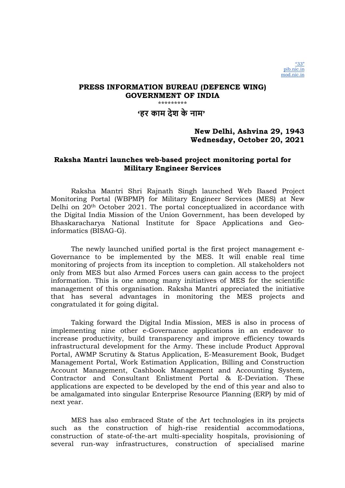## 'हर काम देश के नाम'

## New Delhi, Ashvina 29, 1943 Wednesday, October 20, 2021

## Raksha Mantri launches web-based project monitoring portal for Military Engineer Services

Raksha Mantri Shri Rajnath Singh launched Web Based Project Monitoring Portal (WBPMP) for Military Engineer Services (MES) at New Delhi on 20th October 2021. The portal conceptualized in accordance with the Digital India Mission of the Union Government, has been developed by Bhaskaracharya National Institute for Space Applications and Geoinformatics (BISAG-G).

The newly launched unified portal is the first project management e-Governance to be implemented by the MES. It will enable real time monitoring of projects from its inception to completion. All stakeholders not only from MES but also Armed Forces users can gain access to the project information. This is one among many initiatives of MES for the scientific management of this organisation. Raksha Mantri appreciated the initiative that has several advantages in monitoring the MES projects and congratulated it for going digital.

Taking forward the Digital India Mission, MES is also in process of implementing nine other e-Governance applications in an endeavor to increase productivity, build transparency and improve efficiency towards infrastructural development for the Army. These include Product Approval Portal, AWMP Scrutiny & Status Application, E-Measurement Book, Budget Management Portal, Work Estimation Application, Billing and Construction Account Management, Cashbook Management and Accounting System, Contractor and Consultant Enlistment Portal & E-Deviation. These applications are expected to be developed by the end of this year and also to be amalgamated into singular Enterprise Resource Planning (ERP) by mid of next year.

MES has also embraced State of the Art technologies in its projects such as the construction of high-rise residential accommodations, construction of state-of-the-art multi-speciality hospitals, provisioning of several run-way infrastructures, construction of specialised marine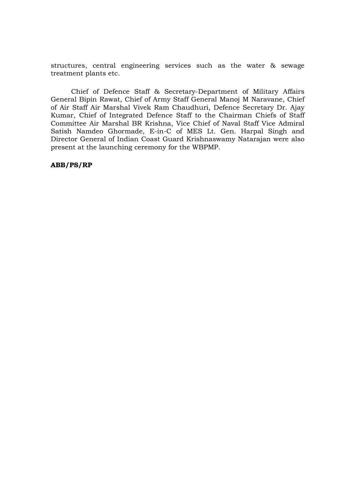structures, central engineering services such as the water & sewage treatment plants etc.

Chief of Defence Staff & Secretary-Department of Military Affairs General Bipin Rawat, Chief of Army Staff General Manoj M Naravane, Chief of Air Staff Air Marshal Vivek Ram Chaudhuri, Defence Secretary Dr. Ajay Kumar, Chief of Integrated Defence Staff to the Chairman Chiefs of Staff Committee Air Marshal BR Krishna, Vice Chief of Naval Staff Vice Admiral Satish Namdeo Ghormade, E-in-C of MES Lt. Gen. Harpal Singh and Director General of Indian Coast Guard Krishnaswamy Natarajan were also present at the launching ceremony for the WBPMP.

ABB/PS/RP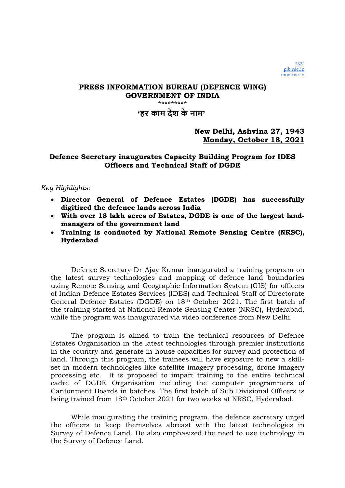'हर काम देश के नाम'

# New Delhi, Ashvina 27, 1943 Monday, October 18, 2021

# Defence Secretary inaugurates Capacity Building Program for IDES Officers and Technical Staff of DGDE

## Key Highlights:

- Director General of Defence Estates (DGDE) has successfully digitized the defence lands across India
- With over 18 lakh acres of Estates, DGDE is one of the largest landmanagers of the government land
- Training is conducted by National Remote Sensing Centre (NRSC), Hyderabad

Defence Secretary Dr Ajay Kumar inaugurated a training program on the latest survey technologies and mapping of defence land boundaries using Remote Sensing and Geographic Information System (GIS) for officers of Indian Defence Estates Services (IDES) and Technical Staff of Directorate General Defence Estates (DGDE) on 18th October 2021. The first batch of the training started at National Remote Sensing Center (NRSC), Hyderabad, while the program was inaugurated via video conference from New Delhi.

The program is aimed to train the technical resources of Defence Estates Organisation in the latest technologies through premier institutions in the country and generate in-house capacities for survey and protection of land. Through this program, the trainees will have exposure to new a skillset in modern technologies like satellite imagery processing, drone imagery processing etc. It is proposed to impart training to the entire technical cadre of DGDE Organisation including the computer programmers of Cantonment Boards in batches. The first batch of Sub Divisional Officers is being trained from 18th October 2021 for two weeks at NRSC, Hyderabad.

While inaugurating the training program, the defence secretary urged the officers to keep themselves abreast with the latest technologies in Survey of Defence Land. He also emphasized the need to use technology in the Survey of Defence Land.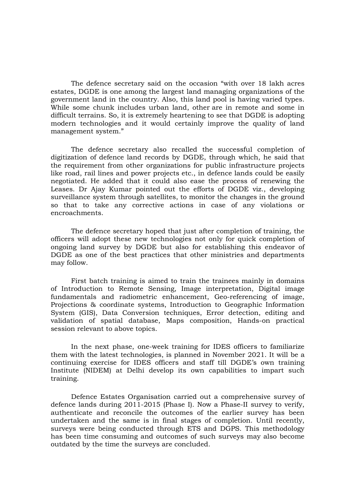The defence secretary said on the occasion "with over 18 lakh acres estates, DGDE is one among the largest land managing organizations of the government land in the country. Also, this land pool is having varied types. While some chunk includes urban land, other are in remote and some in difficult terrains. So, it is extremely heartening to see that DGDE is adopting modern technologies and it would certainly improve the quality of land management system."

The defence secretary also recalled the successful completion of digitization of defence land records by DGDE, through which, he said that the requirement from other organizations for public infrastructure projects like road, rail lines and power projects etc., in defence lands could be easily negotiated. He added that it could also ease the process of renewing the Leases. Dr Ajay Kumar pointed out the efforts of DGDE viz., developing surveillance system through satellites, to monitor the changes in the ground so that to take any corrective actions in case of any violations or encroachments.

The defence secretary hoped that just after completion of training, the officers will adopt these new technologies not only for quick completion of ongoing land survey by DGDE but also for establishing this endeavor of DGDE as one of the best practices that other ministries and departments may follow.

First batch training is aimed to train the trainees mainly in domains of Introduction to Remote Sensing, Image interpretation, Digital image fundamentals and radiometric enhancement, Geo-referencing of image, Projections & coordinate systems, Introduction to Geographic Information System (GIS), Data Conversion techniques, Error detection, editing and validation of spatial database, Maps composition, Hands-on practical session relevant to above topics.

In the next phase, one-week training for IDES officers to familiarize them with the latest technologies, is planned in November 2021. It will be a continuing exercise for IDES officers and staff till DGDE's own training Institute (NIDEM) at Delhi develop its own capabilities to impart such training.

Defence Estates Organisation carried out a comprehensive survey of defence lands during 2011-2015 (Phase I). Now a Phase-II survey to verify, authenticate and reconcile the outcomes of the earlier survey has been undertaken and the same is in final stages of completion. Until recently, surveys were being conducted through ETS and DGPS. This methodology has been time consuming and outcomes of such surveys may also become outdated by the time the surveys are concluded.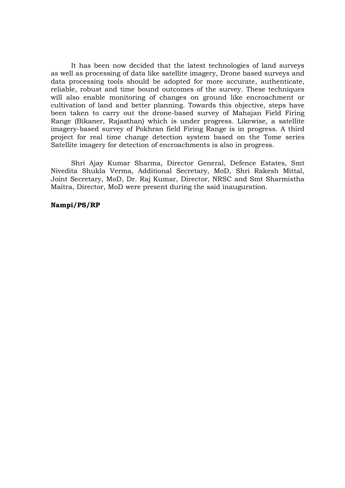It has been now decided that the latest technologies of land surveys as well as processing of data like satellite imagery, Drone based surveys and data processing tools should be adopted for more accurate, authenticate, reliable, robust and time bound outcomes of the survey. These techniques will also enable monitoring of changes on ground like encroachment or cultivation of land and better planning. Towards this objective, steps have been taken to carry out the drone-based survey of Mahajan Field Firing Range (Bikaner, Rajasthan) which is under progress. Likewise, a satellite imagery-based survey of Pokhran field Firing Range is in progress. A third project for real time change detection system based on the Tome series Satellite imagery for detection of encroachments is also in progress.

Shri Ajay Kumar Sharma, Director General, Defence Estates, Smt Nivedita Shukla Verma, Additional Secretary, MoD, Shri Rakesh Mittal, Joint Secretary, MoD, Dr. Raj Kumar, Director, NRSC and Smt Sharmistha Maitra, Director, MoD were present during the said inauguration.

### Nampi/PS/RP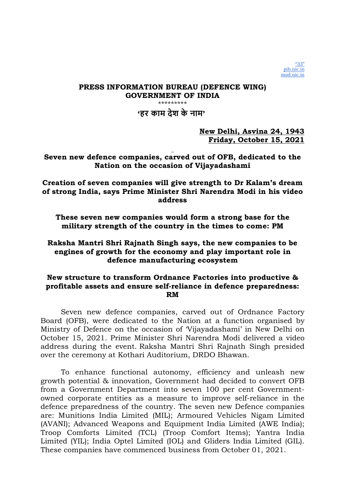'हर काम देश के नाम'

New Delhi, Asvina 24, 1943 Friday, October 15, 2021

# Seven new defence companies, carved out of OFB, dedicated to the Nation on the occasion of Vijayadashami

## Creation of seven companies will give strength to Dr Kalam's dream of strong India, says Prime Minister Shri Narendra Modi in his video address

These seven new companies would form a strong base for the military strength of the country in the times to come: PM

# Raksha Mantri Shri Rajnath Singh says, the new companies to be engines of growth for the economy and play important role in defence manufacturing ecosystem

# New structure to transform Ordnance Factories into productive & profitable assets and ensure self-reliance in defence preparedness: RM

Seven new defence companies, carved out of Ordnance Factory Board (OFB), were dedicated to the Nation at a function organised by Ministry of Defence on the occasion of 'Vijayadashami' in New Delhi on October 15, 2021. Prime Minister Shri Narendra Modi delivered a video address during the event. Raksha Mantri Shri Rajnath Singh presided over the ceremony at Kothari Auditorium, DRDO Bhawan.

To enhance functional autonomy, efficiency and unleash new growth potential & innovation, Government had decided to convert OFB from a Government Department into seven 100 per cent Governmentowned corporate entities as a measure to improve self-reliance in the defence preparedness of the country. The seven new Defence companies are: Munitions India Limited (MIL); Armoured Vehicles Nigam Limited (AVANI); Advanced Weapons and Equipment India Limited (AWE India); Troop Comforts Limited (TCL) (Troop Comfort Items); Yantra India Limited (YIL); India Optel Limited (IOL) and Gliders India Limited (GIL). These companies have commenced business from October 01, 2021.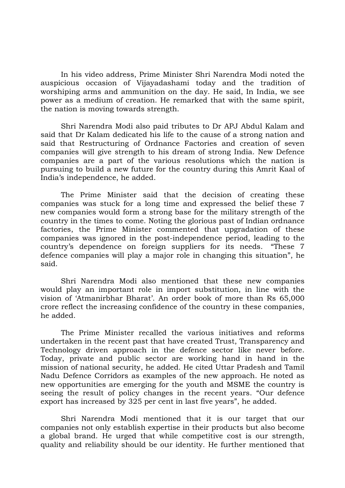In his video address, Prime Minister Shri Narendra Modi noted the auspicious occasion of Vijayadashami today and the tradition of worshiping arms and ammunition on the day. He said, In India, we see power as a medium of creation. He remarked that with the same spirit, the nation is moving towards strength.

Shri Narendra Modi also paid tributes to Dr APJ Abdul Kalam and said that Dr Kalam dedicated his life to the cause of a strong nation and said that Restructuring of Ordnance Factories and creation of seven companies will give strength to his dream of strong India. New Defence companies are a part of the various resolutions which the nation is pursuing to build a new future for the country during this Amrit Kaal of India's independence, he added.

The Prime Minister said that the decision of creating these companies was stuck for a long time and expressed the belief these 7 new companies would form a strong base for the military strength of the country in the times to come. Noting the glorious past of Indian ordnance factories, the Prime Minister commented that upgradation of these companies was ignored in the post-independence period, leading to the country's dependence on foreign suppliers for its needs. "These 7 defence companies will play a major role in changing this situation", he said.

Shri Narendra Modi also mentioned that these new companies would play an important role in import substitution, in line with the vision of 'Atmanirbhar Bharat'. An order book of more than Rs 65,000 crore reflect the increasing confidence of the country in these companies, he added.

The Prime Minister recalled the various initiatives and reforms undertaken in the recent past that have created Trust, Transparency and Technology driven approach in the defence sector like never before. Today, private and public sector are working hand in hand in the mission of national security, he added. He cited Uttar Pradesh and Tamil Nadu Defence Corridors as examples of the new approach. He noted as new opportunities are emerging for the youth and MSME the country is seeing the result of policy changes in the recent years. "Our defence export has increased by 325 per cent in last five years", he added.

Shri Narendra Modi mentioned that it is our target that our companies not only establish expertise in their products but also become a global brand. He urged that while competitive cost is our strength, quality and reliability should be our identity. He further mentioned that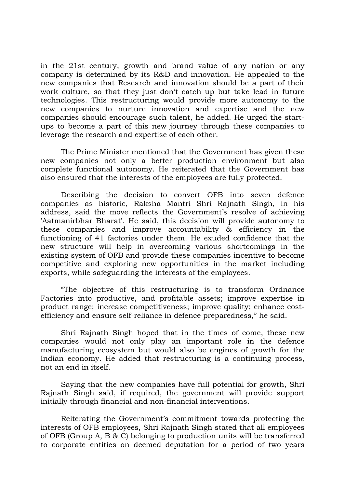in the 21st century, growth and brand value of any nation or any company is determined by its R&D and innovation. He appealed to the new companies that Research and innovation should be a part of their work culture, so that they just don't catch up but take lead in future technologies. This restructuring would provide more autonomy to the new companies to nurture innovation and expertise and the new companies should encourage such talent, he added. He urged the startups to become a part of this new journey through these companies to leverage the research and expertise of each other.

The Prime Minister mentioned that the Government has given these new companies not only a better production environment but also complete functional autonomy. He reiterated that the Government has also ensured that the interests of the employees are fully protected.

Describing the decision to convert OFB into seven defence companies as historic, Raksha Mantri Shri Rajnath Singh, in his address, said the move reflects the Government's resolve of achieving 'Aatmanirbhar Bharat'. He said, this decision will provide autonomy to these companies and improve accountability & efficiency in the functioning of 41 factories under them. He exuded confidence that the new structure will help in overcoming various shortcomings in the existing system of OFB and provide these companies incentive to become competitive and exploring new opportunities in the market including exports, while safeguarding the interests of the employees.

"The objective of this restructuring is to transform Ordnance Factories into productive, and profitable assets; improve expertise in product range; increase competitiveness; improve quality; enhance costefficiency and ensure self-reliance in defence preparedness," he said.

Shri Rajnath Singh hoped that in the times of come, these new companies would not only play an important role in the defence manufacturing ecosystem but would also be engines of growth for the Indian economy. He added that restructuring is a continuing process, not an end in itself.

Saying that the new companies have full potential for growth, Shri Rajnath Singh said, if required, the government will provide support initially through financial and non-financial interventions.

Reiterating the Government's commitment towards protecting the interests of OFB employees, Shri Rajnath Singh stated that all employees of OFB (Group A, B & C) belonging to production units will be transferred to corporate entities on deemed deputation for a period of two years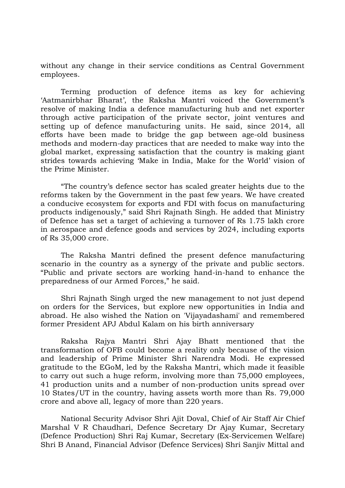without any change in their service conditions as Central Government employees.

Terming production of defence items as key for achieving 'Aatmanirbhar Bharat', the Raksha Mantri voiced the Government's resolve of making India a defence manufacturing hub and net exporter through active participation of the private sector, joint ventures and setting up of defence manufacturing units. He said, since 2014, all efforts have been made to bridge the gap between age-old business methods and modern-day practices that are needed to make way into the global market, expressing satisfaction that the country is making giant strides towards achieving 'Make in India, Make for the World' vision of the Prime Minister.

"The country's defence sector has scaled greater heights due to the reforms taken by the Government in the past few years. We have created a conducive ecosystem for exports and FDI with focus on manufacturing products indigenously," said Shri Rajnath Singh. He added that Ministry of Defence has set a target of achieving a turnover of Rs 1.75 lakh crore in aerospace and defence goods and services by 2024, including exports of Rs 35,000 crore.

The Raksha Mantri defined the present defence manufacturing scenario in the country as a synergy of the private and public sectors. "Public and private sectors are working hand-in-hand to enhance the preparedness of our Armed Forces," he said.

Shri Rajnath Singh urged the new management to not just depend on orders for the Services, but explore new opportunities in India and abroad. He also wished the Nation on 'Vijayadashami' and remembered former President APJ Abdul Kalam on his birth anniversary

Raksha Rajya Mantri Shri Ajay Bhatt mentioned that the transformation of OFB could become a reality only because of the vision and leadership of Prime Minister Shri Narendra Modi. He expressed gratitude to the EGoM, led by the Raksha Mantri, which made it feasible to carry out such a huge reform, involving more than 75,000 employees, 41 production units and a number of non-production units spread over 10 States/UT in the country, having assets worth more than Rs. 79,000 crore and above all, legacy of more than 220 years.

National Security Advisor Shri Ajit Doval, Chief of Air Staff Air Chief Marshal V R Chaudhari, Defence Secretary Dr Ajay Kumar, Secretary (Defence Production) Shri Raj Kumar, Secretary (Ex-Servicemen Welfare) Shri B Anand, Financial Advisor (Defence Services) Shri Sanjiv Mittal and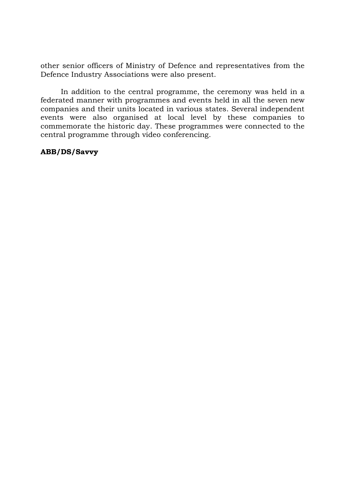other senior officers of Ministry of Defence and representatives from the Defence Industry Associations were also present.

In addition to the central programme, the ceremony was held in a federated manner with programmes and events held in all the seven new companies and their units located in various states. Several independent events were also organised at local level by these companies to commemorate the historic day. These programmes were connected to the central programme through video conferencing.

# ABB/DS/Savvy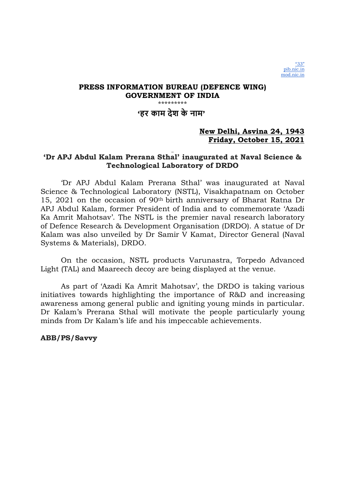'हर काम देश के नाम'

# New Delhi, Asvina 24, 1943 Friday, October 15, 2021

# 'Dr APJ Abdul Kalam Prerana Sthal' inaugurated at Naval Science & Technological Laboratory of DRDO

'Dr APJ Abdul Kalam Prerana Sthal' was inaugurated at Naval Science & Technological Laboratory (NSTL), Visakhapatnam on October 15, 2021 on the occasion of 90th birth anniversary of Bharat Ratna Dr APJ Abdul Kalam, former President of India and to commemorate 'Azadi Ka Amrit Mahotsav'. The NSTL is the premier naval research laboratory of Defence Research & Development Organisation (DRDO). A statue of Dr Kalam was also unveiled by Dr Samir V Kamat, Director General (Naval Systems & Materials), DRDO.

On the occasion, NSTL products Varunastra, Torpedo Advanced Light (TAL) and Maareech decoy are being displayed at the venue.

As part of 'Azadi Ka Amrit Mahotsav', the DRDO is taking various initiatives towards highlighting the importance of R&D and increasing awareness among general public and igniting young minds in particular. Dr Kalam's Prerana Sthal will motivate the people particularly young minds from Dr Kalam's life and his impeccable achievements.

## ABB/PS/Savvy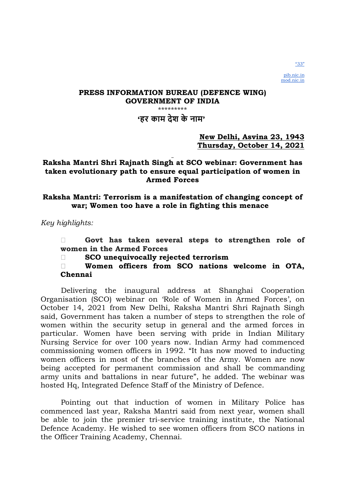# 'हर काम देश के नाम'

## New Delhi, Asvina 23, 1943 Thursday, October 14, 2021

# Raksha Mantri Shri Rajnath Singh at SCO webinar: Government has taken evolutionary path to ensure equal participation of women in Armed Forces

# Raksha Mantri: Terrorism is a manifestation of changing concept of war; Women too have a role in fighting this menace

Key highlights:

 Govt has taken several steps to strengthen role of women in the Armed Forces

SCO unequivocally rejected terrorism

 Women officers from SCO nations welcome in OTA, Chennai

Delivering the inaugural address at Shanghai Cooperation Organisation (SCO) webinar on 'Role of Women in Armed Forces', on October 14, 2021 from New Delhi, Raksha Mantri Shri Rajnath Singh said, Government has taken a number of steps to strengthen the role of women within the security setup in general and the armed forces in particular. Women have been serving with pride in Indian Military Nursing Service for over 100 years now. Indian Army had commenced commissioning women officers in 1992. "It has now moved to inducting women officers in most of the branches of the Army. Women are now being accepted for permanent commission and shall be commanding army units and battalions in near future", he added. The webinar was hosted Hq, Integrated Defence Staff of the Ministry of Defence.

Pointing out that induction of women in Military Police has commenced last year, Raksha Mantri said from next year, women shall be able to join the premier tri-service training institute, the National Defence Academy. He wished to see women officers from SCO nations in the Officer Training Academy, Chennai.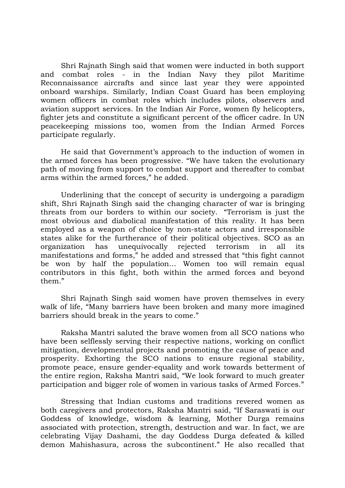Shri Rajnath Singh said that women were inducted in both support and combat roles - in the Indian Navy they pilot Maritime Reconnaissance aircrafts and since last year they were appointed onboard warships. Similarly, Indian Coast Guard has been employing women officers in combat roles which includes pilots, observers and aviation support services. In the Indian Air Force, women fly helicopters, fighter jets and constitute a significant percent of the officer cadre. In UN peacekeeping missions too, women from the Indian Armed Forces participate regularly.

He said that Government's approach to the induction of women in the armed forces has been progressive. "We have taken the evolutionary path of moving from support to combat support and thereafter to combat arms within the armed forces," he added.

Underlining that the concept of security is undergoing a paradigm shift, Shri Rajnath Singh said the changing character of war is bringing threats from our borders to within our society. "Terrorism is just the most obvious and diabolical manifestation of this reality. It has been employed as a weapon of choice by non-state actors and irresponsible states alike for the furtherance of their political objectives. SCO as an organization has unequivocally rejected terrorism in all its manifestations and forms," he added and stressed that "this fight cannot be won by half the population… Women too will remain equal contributors in this fight, both within the armed forces and beyond them."

Shri Rajnath Singh said women have proven themselves in every walk of life, "Many barriers have been broken and many more imagined barriers should break in the years to come."

Raksha Mantri saluted the brave women from all SCO nations who have been selflessly serving their respective nations, working on conflict mitigation, developmental projects and promoting the cause of peace and prosperity. Exhorting the SCO nations to ensure regional stability, promote peace, ensure gender-equality and work towards betterment of the entire region, Raksha Mantri said, "We look forward to much greater participation and bigger role of women in various tasks of Armed Forces."

Stressing that Indian customs and traditions revered women as both caregivers and protectors, Raksha Mantri said, "If Saraswati is our Goddess of knowledge, wisdom & learning, Mother Durga remains associated with protection, strength, destruction and war. In fact, we are celebrating Vijay Dashami, the day Goddess Durga defeated & killed demon Mahishasura, across the subcontinent." He also recalled that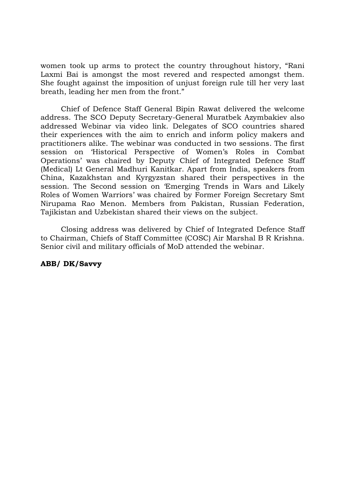women took up arms to protect the country throughout history, "Rani Laxmi Bai is amongst the most revered and respected amongst them. She fought against the imposition of unjust foreign rule till her very last breath, leading her men from the front."

Chief of Defence Staff General Bipin Rawat delivered the welcome address. The SCO Deputy Secretary-General Muratbek Azymbakiev also addressed Webinar via video link. Delegates of SCO countries shared their experiences with the aim to enrich and inform policy makers and practitioners alike. The webinar was conducted in two sessions. The first session on 'Historical Perspective of Women's Roles in Combat Operations' was chaired by Deputy Chief of Integrated Defence Staff (Medical) Lt General Madhuri Kanitkar. Apart from India, speakers from China, Kazakhstan and Kyrgyzstan shared their perspectives in the session. The Second session on 'Emerging Trends in Wars and Likely Roles of Women Warriors' was chaired by Former Foreign Secretary Smt Nirupama Rao Menon. Members from Pakistan, Russian Federation, Tajikistan and Uzbekistan shared their views on the subject.

Closing address was delivered by Chief of Integrated Defence Staff to Chairman, Chiefs of Staff Committee (COSC) Air Marshal B R Krishna. Senior civil and military officials of MoD attended the webinar.

## ABB/ DK/Savvy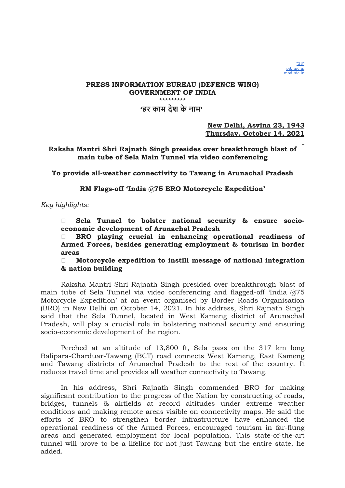

### PRESS INFORMATION BUREAU (DEFENCE WING) GOVERNMENT OF INDIA \*\*\*\*\*\*\*\*\* 'हर काम देश के नाम'

New Delhi, Asvina 23, 1943 Thursday, October 14, 2021

### Raksha Mantri Shri Rajnath Singh presides over breakthrough blast of main tube of Sela Main Tunnel via video conferencing

To provide all-weather connectivity to Tawang in Arunachal Pradesh

RM Flags-off 'India @75 BRO Motorcycle Expedition'

Key highlights:

 Sela Tunnel to bolster national security & ensure socioeconomic development of Arunachal Pradesh

 BRO playing crucial in enhancing operational readiness of Armed Forces, besides generating employment & tourism in border areas

 $\Box$  Motorcycle expedition to instill message of national integration & nation building

Raksha Mantri Shri Rajnath Singh presided over breakthrough blast of main tube of Sela Tunnel via video conferencing and flagged-off 'India @75 Motorcycle Expedition' at an event organised by Border Roads Organisation (BRO) in New Delhi on October 14, 2021. In his address, Shri Rajnath Singh said that the Sela Tunnel, located in West Kameng district of Arunachal Pradesh, will play a crucial role in bolstering national security and ensuring socio-economic development of the region.

Perched at an altitude of 13,800 ft, Sela pass on the 317 km long Balipara-Charduar-Tawang (BCT) road connects West Kameng, East Kameng and Tawang districts of Arunachal Pradesh to the rest of the country. It reduces travel time and provides all weather connectivity to Tawang.

In his address, Shri Rajnath Singh commended BRO for making significant contribution to the progress of the Nation by constructing of roads, bridges, tunnels & airfields at record altitudes under extreme weather conditions and making remote areas visible on connectivity maps. He said the efforts of BRO to strengthen border infrastructure have enhanced the operational readiness of the Armed Forces, encouraged tourism in far-flung areas and generated employment for local population. This state-of-the-art tunnel will prove to be a lifeline for not just Tawang but the entire state, he added.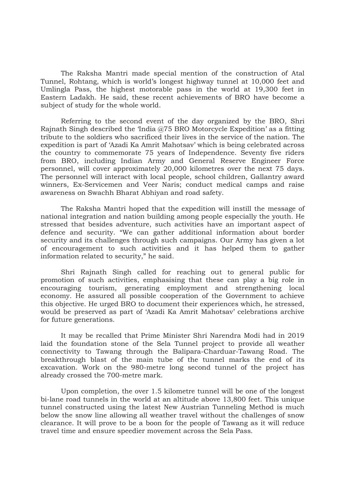The Raksha Mantri made special mention of the construction of Atal Tunnel, Rohtang, which is world's longest highway tunnel at 10,000 feet and Umlingla Pass, the highest motorable pass in the world at 19,300 feet in Eastern Ladakh. He said, these recent achievements of BRO have become a subject of study for the whole world.

Referring to the second event of the day organized by the BRO, Shri Rajnath Singh described the 'India @75 BRO Motorcycle Expedition' as a fitting tribute to the soldiers who sacrificed their lives in the service of the nation. The expedition is part of 'Azadi Ka Amrit Mahotsav' which is being celebrated across the country to commemorate 75 years of Independence. Seventy five riders from BRO, including Indian Army and General Reserve Engineer Force personnel, will cover approximately 20,000 kilometres over the next 75 days. The personnel will interact with local people, school children, Gallantry award winners, Ex-Servicemen and Veer Naris; conduct medical camps and raise awareness on Swachh Bharat Abhiyan and road safety.

The Raksha Mantri hoped that the expedition will instill the message of national integration and nation building among people especially the youth. He stressed that besides adventure, such activities have an important aspect of defence and security. "We can gather additional information about border security and its challenges through such campaigns. Our Army has given a lot of encouragement to such activities and it has helped them to gather information related to security," he said.

Shri Rajnath Singh called for reaching out to general public for promotion of such activities, emphasising that these can play a big role in encouraging tourism, generating employment and strengthening local economy. He assured all possible cooperation of the Government to achieve this objective. He urged BRO to document their experiences which, he stressed, would be preserved as part of 'Azadi Ka Amrit Mahotsav' celebrations archive for future generations.

It may be recalled that Prime Minister Shri Narendra Modi had in 2019 laid the foundation stone of the Sela Tunnel project to provide all weather connectivity to Tawang through the Balipara-Charduar-Tawang Road. The breakthrough blast of the main tube of the tunnel marks the end of its excavation. Work on the 980-metre long second tunnel of the project has already crossed the 700-metre mark.

Upon completion, the over 1.5 kilometre tunnel will be one of the longest bi-lane road tunnels in the world at an altitude above 13,800 feet. This unique tunnel constructed using the latest New Austrian Tunneling Method is much below the snow line allowing all weather travel without the challenges of snow clearance. It will prove to be a boon for the people of Tawang as it will reduce travel time and ensure speedier movement across the Sela Pass.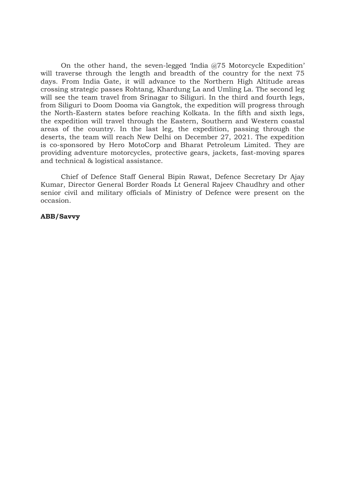On the other hand, the seven-legged 'India @75 Motorcycle Expedition' will traverse through the length and breadth of the country for the next 75 days. From India Gate, it will advance to the Northern High Altitude areas crossing strategic passes Rohtang, Khardung La and Umling La. The second leg will see the team travel from Srinagar to Siliguri. In the third and fourth legs, from Siliguri to Doom Dooma via Gangtok, the expedition will progress through the North-Eastern states before reaching Kolkata. In the fifth and sixth legs, the expedition will travel through the Eastern, Southern and Western coastal areas of the country. In the last leg, the expedition, passing through the deserts, the team will reach New Delhi on December 27, 2021. The expedition is co-sponsored by Hero MotoCorp and Bharat Petroleum Limited. They are providing adventure motorcycles, protective gears, jackets, fast-moving spares and technical & logistical assistance.

Chief of Defence Staff General Bipin Rawat, Defence Secretary Dr Ajay Kumar, Director General Border Roads Lt General Rajeev Chaudhry and other senior civil and military officials of Ministry of Defence were present on the occasion.

### ABB/Savvy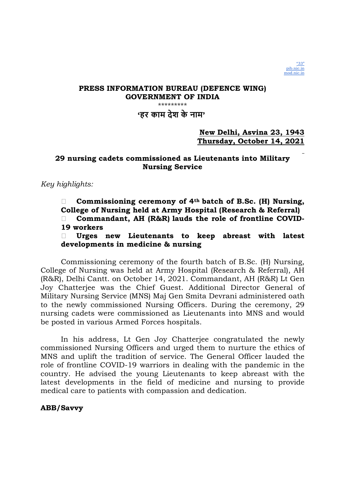

'हर काम देश के नाम'

## New Delhi, Asvina 23, 1943 Thursday, October 14, 2021

# 29 nursing cadets commissioned as Lieutenants into Military Nursing Service

Key highlights:

Commissioning ceremony of  $4<sup>th</sup>$  batch of B.Sc. (H) Nursing, College of Nursing held at Army Hospital (Research & Referral) Commandant, AH (R&R) lauds the role of frontline COVID-19 workers

 Urges new Lieutenants to keep abreast with latest developments in medicine & nursing

Commissioning ceremony of the fourth batch of B.Sc. (H) Nursing, College of Nursing was held at Army Hospital (Research & Referral), AH (R&R), Delhi Cantt. on October 14, 2021. Commandant, AH (R&R) Lt Gen Joy Chatterjee was the Chief Guest. Additional Director General of Military Nursing Service (MNS) Maj Gen Smita Devrani administered oath to the newly commissioned Nursing Officers. During the ceremony, 29 nursing cadets were commissioned as Lieutenants into MNS and would be posted in various Armed Forces hospitals.

In his address, Lt Gen Joy Chatterjee congratulated the newly commissioned Nursing Officers and urged them to nurture the ethics of MNS and uplift the tradition of service. The General Officer lauded the role of frontline COVID-19 warriors in dealing with the pandemic in the country. He advised the young Lieutenants to keep abreast with the latest developments in the field of medicine and nursing to provide medical care to patients with compassion and dedication.

## ABB/Savvy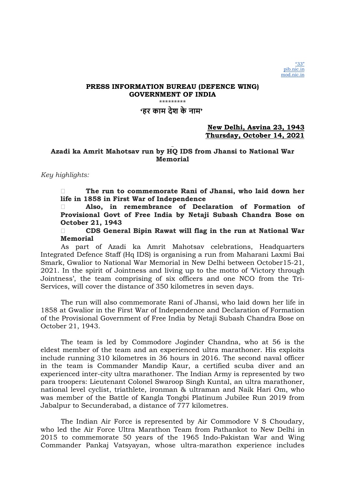## 'हर काम देश के नाम'

## New Delhi, Asvina 23, 1943 Thursday, October 14, 2021

## Azadi ka Amrit Mahotsav run by HQ IDS from Jhansi to National War **Memorial**

Key highlights:

 The run to commemorate Rani of Jhansi, who laid down her life in 1858 in First War of Independence

 Also, in remembrance of Declaration of Formation of Provisional Govt of Free India by Netaji Subash Chandra Bose on October 21, 1943

 CDS General Bipin Rawat will flag in the run at National War Memorial

As part of Azadi ka Amrit Mahotsav celebrations, Headquarters Integrated Defence Staff (Hq IDS) is organising a run from Maharani Laxmi Bai Smark, Gwalior to National War Memorial in New Delhi between October15-21, 2021. In the spirit of Jointness and living up to the motto of 'Victory through Jointness', the team comprising of six officers and one NCO from the Tri-Services, will cover the distance of 350 kilometres in seven days.

The run will also commemorate Rani of Jhansi, who laid down her life in 1858 at Gwalior in the First War of Independence and Declaration of Formation of the Provisional Government of Free India by Netaji Subash Chandra Bose on October 21, 1943.

The team is led by Commodore Joginder Chandna, who at 56 is the eldest member of the team and an experienced ultra marathoner. His exploits include running 310 kilometres in 36 hours in 2016. The second naval officer in the team is Commander Mandip Kaur, a certified scuba diver and an experienced inter-city ultra marathoner. The Indian Army is represented by two para troopers: Lieutenant Colonel Swaroop Singh Kuntal, an ultra marathoner, national level cyclist, triathlete, ironman & ultraman and Naik Hari Om, who was member of the Battle of Kangla Tongbi Platinum Jubilee Run 2019 from Jabalpur to Secunderabad, a distance of 777 kilometres.

The Indian Air Force is represented by Air Commodore V S Choudary, who led the Air Force Ultra Marathon Team from Pathankot to New Delhi in 2015 to commemorate 50 years of the 1965 Indo-Pakistan War and Wing Commander Pankaj Vatsyayan, whose ultra-marathon experience includes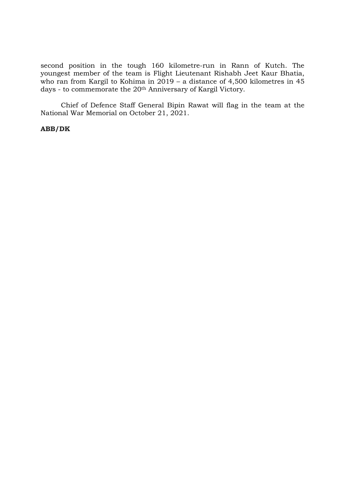second position in the tough 160 kilometre-run in Rann of Kutch. The youngest member of the team is Flight Lieutenant Rishabh Jeet Kaur Bhatia, who ran from Kargil to Kohima in  $2019$  – a distance of 4,500 kilometres in 45 days - to commemorate the 20<sup>th</sup> Anniversary of Kargil Victory.

Chief of Defence Staff General Bipin Rawat will flag in the team at the National War Memorial on October 21, 2021.

### ABB/DK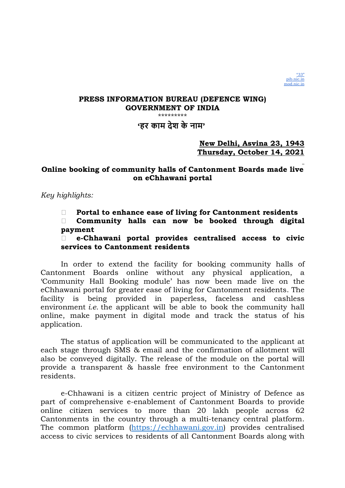

### \*\*\*\*\*\*\*\*\*

# 'हर काम देश के नाम'

# New Delhi, Asvina 23, 1943 Thursday, October 14, 2021

# Online booking of community halls of Cantonment Boards made live on eChhawani portal

Key highlights:

 $\Box$  Portal to enhance ease of living for Cantonment residents

 Community halls can now be booked through digital payment

 e-Chhawani portal provides centralised access to civic services to Cantonment residents

In order to extend the facility for booking community halls of Cantonment Boards online without any physical application, a 'Community Hall Booking module' has now been made live on the eChhawani portal for greater ease of living for Cantonment residents. The facility is being provided in paperless, faceless and cashless environment *i.e.* the applicant will be able to book the community hall online, make payment in digital mode and track the status of his application.

The status of application will be communicated to the applicant at each stage through SMS & email and the confirmation of allotment will also be conveyed digitally. The release of the module on the portal will provide a transparent & hassle free environment to the Cantonment residents.

e-Chhawani is a citizen centric project of Ministry of Defence as part of comprehensive e-enablement of Cantonment Boards to provide online citizen services to more than 20 lakh people across 62 Cantonments in the country through a multi-tenancy central platform. The common platform (https://echhawani.gov.in) provides centralised access to civic services to residents of all Cantonment Boards along with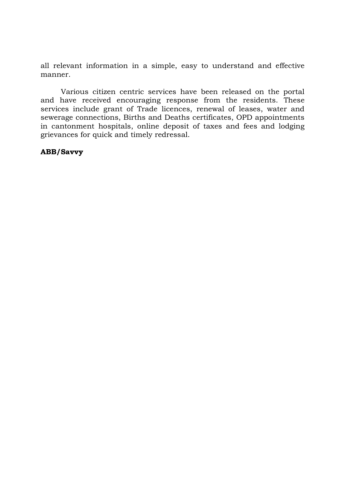all relevant information in a simple, easy to understand and effective manner.

Various citizen centric services have been released on the portal and have received encouraging response from the residents. These services include grant of Trade licences, renewal of leases, water and sewerage connections, Births and Deaths certificates, OPD appointments in cantonment hospitals, online deposit of taxes and fees and lodging grievances for quick and timely redressal.

## ABB/Savvy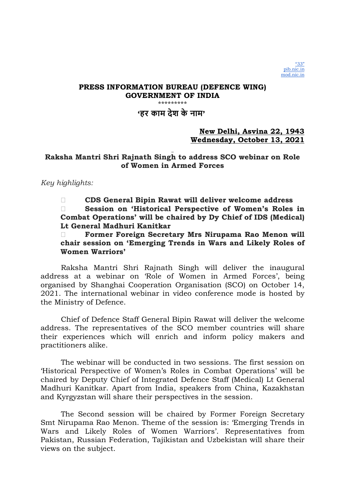'हर काम देश के नाम'

## New Delhi, Asvina 22, 1943 Wednesday, October 13, 2021

# Raksha Mantri Shri Rajnath Singh to address SCO webinar on Role of Women in Armed Forces

Key highlights:

 CDS General Bipin Rawat will deliver welcome address Session on 'Historical Perspective of Women's Roles in Combat Operations' will be chaired by Dy Chief of IDS (Medical) Lt General Madhuri Kanitkar

 Former Foreign Secretary Mrs Nirupama Rao Menon will chair session on 'Emerging Trends in Wars and Likely Roles of Women Warriors'

Raksha Mantri Shri Rajnath Singh will deliver the inaugural address at a webinar on 'Role of Women in Armed Forces', being organised by Shanghai Cooperation Organisation (SCO) on October 14, 2021. The international webinar in video conference mode is hosted by the Ministry of Defence.

Chief of Defence Staff General Bipin Rawat will deliver the welcome address. The representatives of the SCO member countries will share their experiences which will enrich and inform policy makers and practitioners alike.

The webinar will be conducted in two sessions. The first session on 'Historical Perspective of Women's Roles in Combat Operations' will be chaired by Deputy Chief of Integrated Defence Staff (Medical) Lt General Madhuri Kanitkar. Apart from India, speakers from China, Kazakhstan and Kyrgyzstan will share their perspectives in the session.

The Second session will be chaired by Former Foreign Secretary Smt Nirupama Rao Menon. Theme of the session is: 'Emerging Trends in Wars and Likely Roles of Women Warriors'. Representatives from Pakistan, Russian Federation, Tajikistan and Uzbekistan will share their views on the subject.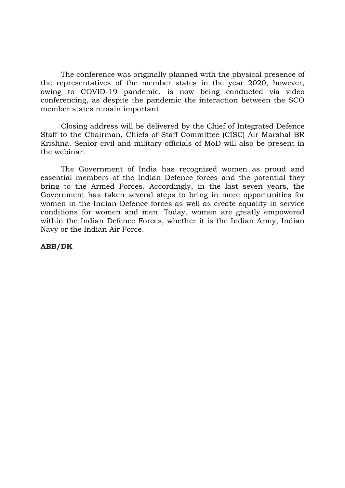The conference was originally planned with the physical presence of the representatives of the member states in the year 2020, however, owing to COVID-19 pandemic, is now being conducted via video conferencing, as despite the pandemic the interaction between the SCO member states remain important.

Closing address will be delivered by the Chief of Integrated Defence Staff to the Chairman, Chiefs of Staff Committee (CISC) Air Marshal BR Krishna. Senior civil and military officials of MoD will also be present in the webinar.

The Government of India has recognized women as proud and essential members of the Indian Defence forces and the potential they bring to the Armed Forces. Accordingly, in the last seven years, the Government has taken several steps to bring in more opportunities for women in the Indian Defence forces as well as create equality in service conditions for women and men. Today, women are greatly empowered within the Indian Defence Forces, whether it is the Indian Army, Indian Navy or the Indian Air Force.

## ABB/DK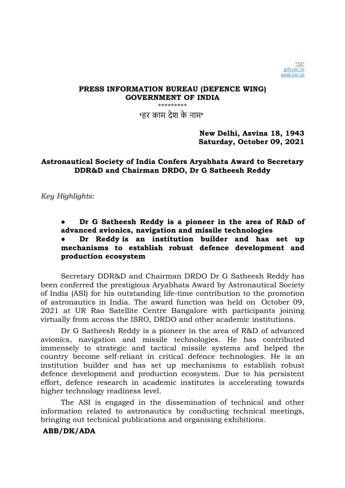'हर काम देश के नाम'

New Delhi, Asvina 18, 1943 Saturday, October 09, 2021

# Astronautical Society of India Confers Aryabhata Award to Secretary DDR&D and Chairman DRDO, Dr G Satheesh Reddy

Key Highlights:

Dr G Satheesh Reddy is a pioneer in the area of R&D of advanced avionics, navigation and missile technologies

# Dr Reddy is an institution builder and has set up mechanisms to establish robust defence development and production ecosystem

Secretary DDR&D and Chairman DRDO Dr G Satheesh Reddy has been conferred the prestigious Aryabhata Award by Astronautical Society of India (ASI) for his outstanding life-time contribution to the promotion of astronautics in India. The award function was held on October 09, 2021 at UR Rao Satellite Centre Bangalore with participants joining virtually from across the ISRO, DRDO and other academic institutions.

Dr G Satheesh Reddy is a pioneer in the area of R&D of advanced avionics, navigation and missile technologies. He has contributed immensely to strategic and tactical missile systems and helped the country become self-reliant in critical defence technologies. He is an institution builder and has set up mechanisms to establish robust defence development and production ecosystem. Due to his persistent effort, defence research in academic institutes is accelerating towards higher technology readiness level.

The ASI is engaged in the dissemination of technical and other information related to astronautics by conducting technical meetings, bringing out technical publications and organising exhibitions.

# ABB/DK/ADA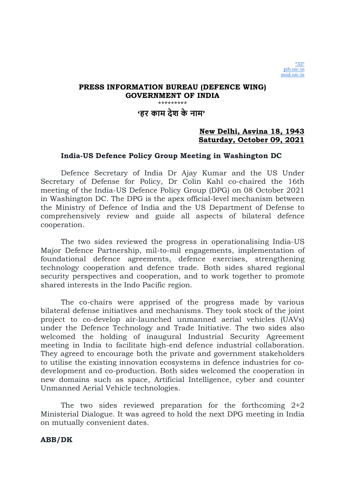'हर काम देश के नाम'

# New Delhi, Asvina 18, 1943 Saturday, October 09, 2021

## India-US Defence Policy Group Meeting in Washington DC

Defence Secretary of India Dr Ajay Kumar and the US Under Secretary of Defense for Policy, Dr Colin Kahl co-chaired the 16th meeting of the India-US Defence Policy Group (DPG) on 08 October 2021 in Washington DC. The DPG is the apex official-level mechanism between the Ministry of Defence of India and the US Department of Defense to comprehensively review and guide all aspects of bilateral defence cooperation.

The two sides reviewed the progress in operationalising India-US Major Defence Partnership, mil-to-mil engagements, implementation of foundational defence agreements, defence exercises, strengthening technology cooperation and defence trade. Both sides shared regional security perspectives and cooperation, and to work together to promote shared interests in the Indo Pacific region.

The co-chairs were apprised of the progress made by various bilateral defense initiatives and mechanisms. They took stock of the joint project to co-develop air-launched unmanned aerial vehicles (UAVs) under the Defence Technology and Trade Initiative. The two sides also welcomed the holding of inaugural Industrial Security Agreement meeting in India to facilitate high-end defence industrial collaboration. They agreed to encourage both the private and government stakeholders to utilise the existing innovation ecosystems in defence industries for codevelopment and co-production. Both sides welcomed the cooperation in new domains such as space, Artificial Intelligence, cyber and counter Unmanned Aerial Vehicle technologies.

The two sides reviewed preparation for the forthcoming 2+2 Ministerial Dialogue. It was agreed to hold the next DPG meeting in India on mutually convenient dates.

## ABB/DK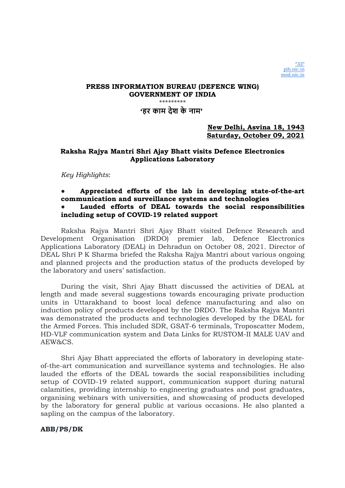### PRESS INFORMATION BUREAU (DEFENCE WING) GOVERNMENT OF INDIA \*\*\*\*\*\*\*\*\*\*\*\*\*\* 'हर काम देश के नाम'

## New Delhi, Asvina 18, 1943 Saturday, October 09, 2021

## Raksha Rajya Mantri Shri Ajay Bhatt visits Defence Electronics Applications Laboratory

Key Highlights:

## Appreciated efforts of the lab in developing state-of-the-art communication and surveillance systems and technologies

## Lauded efforts of DEAL towards the social responsibilities including setup of COVID-19 related support

Raksha Rajya Mantri Shri Ajay Bhatt visited Defence Research and Development Organisation (DRDO) premier lab, Defence Electronics Applications Laboratory (DEAL) in Dehradun on October 08, 2021. Director of DEAL Shri P K Sharma briefed the Raksha Rajya Mantri about various ongoing and planned projects and the production status of the products developed by the laboratory and users' satisfaction.

During the visit, Shri Ajay Bhatt discussed the activities of DEAL at length and made several suggestions towards encouraging private production units in Uttarakhand to boost local defence manufacturing and also on induction policy of products developed by the DRDO. The Raksha Rajya Mantri was demonstrated the products and technologies developed by the DEAL for the Armed Forces. This included SDR, GSAT-6 terminals, Troposcatter Modem, HD-VLF communication system and Data Links for RUSTOM-II MALE UAV and AEW&CS.

Shri Ajay Bhatt appreciated the efforts of laboratory in developing stateof-the-art communication and surveillance systems and technologies. He also lauded the efforts of the DEAL towards the social responsibilities including setup of COVID-19 related support, communication support during natural calamities, providing internship to engineering graduates and post graduates, organising webinars with universities, and showcasing of products developed by the laboratory for general public at various occasions. He also planted a sapling on the campus of the laboratory.

### ABB/PS/DK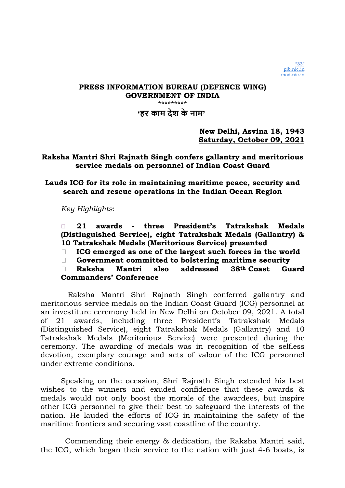'हर काम देश के नाम'

New Delhi, Asvina 18, 1943 Saturday, October 09, 2021

# Raksha Mantri Shri Rajnath Singh confers gallantry and meritorious service medals on personnel of Indian Coast Guard

Lauds ICG for its role in maintaining maritime peace, security and search and rescue operations in the Indian Ocean Region

Key Highlights:

 21 awards - three President's Tatrakshak Medals (Distinguished Service), eight Tatrakshak Medals (Gallantry) & 10 Tatrakshak Medals (Meritorious Service) presented

 $\Box$  ICG emerged as one of the largest such forces in the world

Government committed to bolstering maritime security

 Raksha Mantri also addressed 38th Coast Guard Commanders' Conference

 Raksha Mantri Shri Rajnath Singh conferred gallantry and meritorious service medals on the Indian Coast Guard (ICG) personnel at an investiture ceremony held in New Delhi on October 09, 2021. A total of 21 awards, including three President's Tatrakshak Medals (Distinguished Service), eight Tatrakshak Medals (Gallantry) and 10 Tatrakshak Medals (Meritorious Service) were presented during the ceremony. The awarding of medals was in recognition of the selfless devotion, exemplary courage and acts of valour of the ICG personnel under extreme conditions.

Speaking on the occasion, Shri Rajnath Singh extended his best wishes to the winners and exuded confidence that these awards & medals would not only boost the morale of the awardees, but inspire other ICG personnel to give their best to safeguard the interests of the nation. He lauded the efforts of ICG in maintaining the safety of the maritime frontiers and securing vast coastline of the country.

 Commending their energy & dedication, the Raksha Mantri said, the ICG, which began their service to the nation with just 4-6 boats, is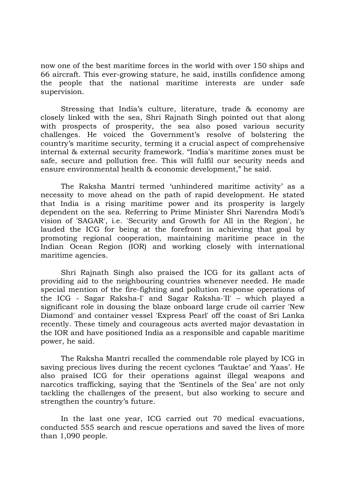now one of the best maritime forces in the world with over 150 ships and 66 aircraft. This ever-growing stature, he said, instills confidence among the people that the national maritime interests are under safe supervision.

Stressing that India's culture, literature, trade & economy are closely linked with the sea, Shri Rajnath Singh pointed out that along with prospects of prosperity, the sea also posed various security challenges. He voiced the Government's resolve of bolstering the country's maritime security, terming it a crucial aspect of comprehensive internal & external security framework. "India's maritime zones must be safe, secure and pollution free. This will fulfil our security needs and ensure environmental health & economic development," he said.

The Raksha Mantri termed 'unhindered maritime activity' as a necessity to move ahead on the path of rapid development. He stated that India is a rising maritime power and its prosperity is largely dependent on the sea. Referring to Prime Minister Shri Narendra Modi's vision of 'SAGAR', i.e. 'Security and Growth for All in the Region', he lauded the ICG for being at the forefront in achieving that goal by promoting regional cooperation, maintaining maritime peace in the Indian Ocean Region (IOR) and working closely with international maritime agencies.

Shri Rajnath Singh also praised the ICG for its gallant acts of providing aid to the neighbouring countries whenever needed. He made special mention of the fire-fighting and pollution response operations of the ICG - Sagar Raksha-I' and Sagar Raksha-'II' – which played a significant role in dousing the blaze onboard large crude oil carrier 'New Diamond' and container vessel 'Express Pearl' off the coast of Sri Lanka recently. These timely and courageous acts averted major devastation in the IOR and have positioned India as a responsible and capable maritime power, he said.

The Raksha Mantri recalled the commendable role played by ICG in saving precious lives during the recent cyclones 'Tauktae' and 'Yaas'. He also praised ICG for their operations against illegal weapons and narcotics trafficking, saying that the 'Sentinels of the Sea' are not only tackling the challenges of the present, but also working to secure and strengthen the country's future.

In the last one year, ICG carried out 70 medical evacuations, conducted 555 search and rescue operations and saved the lives of more than 1,090 people.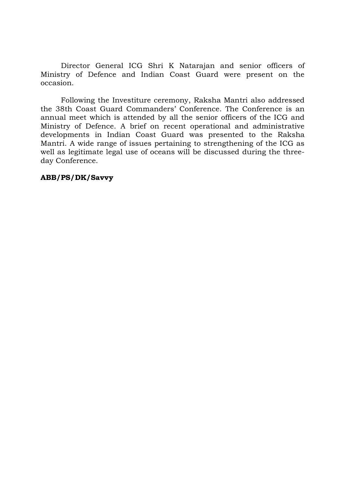Director General ICG Shri K Natarajan and senior officers of Ministry of Defence and Indian Coast Guard were present on the occasion.

Following the Investiture ceremony, Raksha Mantri also addressed the 38th Coast Guard Commanders' Conference. The Conference is an annual meet which is attended by all the senior officers of the ICG and Ministry of Defence. A brief on recent operational and administrative developments in Indian Coast Guard was presented to the Raksha Mantri. A wide range of issues pertaining to strengthening of the ICG as well as legitimate legal use of oceans will be discussed during the threeday Conference.

## ABB/PS/DK/Savvy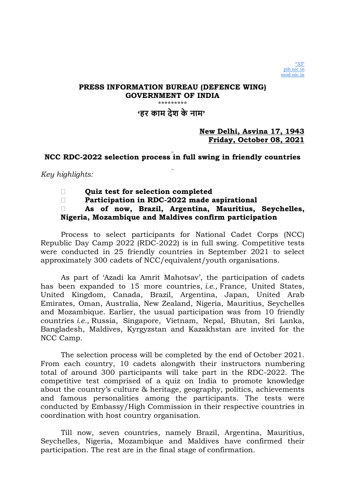'हर काम देश के नाम'

# New Delhi, Asvina 17, 1943 Friday, October 08, 2021

# NCC RDC-2022 selection process in full swing in friendly countries

# Key highlights:

- Quiz test for selection completed
- Participation in RDC-2022 made aspirational

# As of now, Brazil, Argentina, Mauritius, Seychelles, Nigeria, Mozambique and Maldives confirm participation

Process to select participants for National Cadet Corps (NCC) Republic Day Camp 2022 (RDC-2022) is in full swing. Competitive tests were conducted in 25 friendly countries in September 2021 to select approximately 300 cadets of NCC/equivalent/youth organisations.

As part of 'Azadi ka Amrit Mahotsav', the participation of cadets has been expanded to 15 more countries, *i.e.*, France, United States, United Kingdom, Canada, Brazil, Argentina, Japan, United Arab Emirates, Oman, Australia, New Zealand, Nigeria, Mauritius, Seychelles and Mozambique. Earlier, the usual participation was from 10 friendly countries i.e., Russia, Singapore, Vietnam, Nepal, Bhutan, Sri Lanka, Bangladesh, Maldives, Kyrgyzstan and Kazakhstan are invited for the NCC Camp.

The selection process will be completed by the end of October 2021. From each country, 10 cadets alongwith their instructors numbering total of around 300 participants will take part in the RDC-2022. The competitive test comprised of a quiz on India to promote knowledge about the country's culture & heritage, geography, politics, achievements and famous personalities among the participants. The tests were conducted by Embassy/High Commission in their respective countries in coordination with host country organisation.

Till now, seven countries, namely Brazil, Argentina, Mauritius, Seychelles, Nigeria, Mozambique and Maldives have confirmed their participation. The rest are in the final stage of confirmation.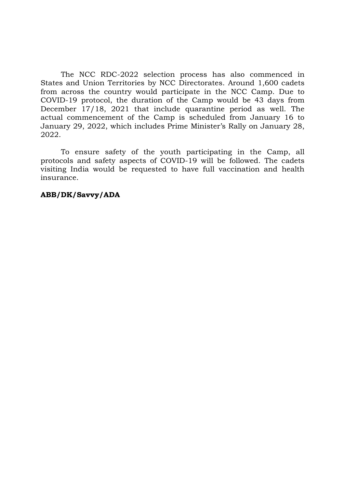The NCC RDC-2022 selection process has also commenced in States and Union Territories by NCC Directorates. Around 1,600 cadets from across the country would participate in the NCC Camp. Due to COVID-19 protocol, the duration of the Camp would be 43 days from December 17/18, 2021 that include quarantine period as well. The actual commencement of the Camp is scheduled from January 16 to January 29, 2022, which includes Prime Minister's Rally on January 28, 2022.

To ensure safety of the youth participating in the Camp, all protocols and safety aspects of COVID-19 will be followed. The cadets visiting India would be requested to have full vaccination and health insurance.

## ABB/DK/Savvy/ADA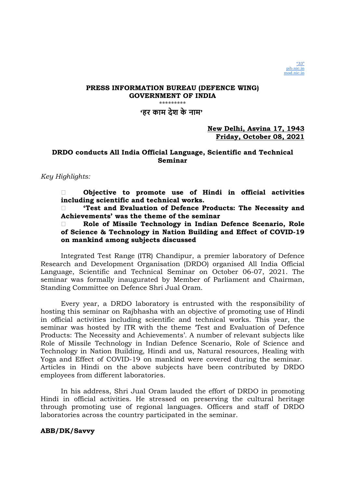

### 'हर काम देश के नाम'

### New Delhi, Asvina 17, 1943 Friday, October 08, 2021

## DRDO conducts All India Official Language, Scientific and Technical Seminar

### Key Highlights:

 Objective to promote use of Hindi in official activities including scientific and technical works.

 'Test and Evaluation of Defence Products: The Necessity and Achievements' was the theme of the seminar

 Role of Missile Technology in Indian Defence Scenario, Role of Science & Technology in Nation Building and Effect of COVID-19 on mankind among subjects discussed

Integrated Test Range (ITR) Chandipur, a premier laboratory of Defence Research and Development Organisation (DRDO) organised All India Official Language, Scientific and Technical Seminar on October 06-07, 2021. The seminar was formally inaugurated by Member of Parliament and Chairman, Standing Committee on Defence Shri Jual Oram.

Every year, a DRDO laboratory is entrusted with the responsibility of hosting this seminar on Rajbhasha with an objective of promoting use of Hindi in official activities including scientific and technical works. This year, the seminar was hosted by ITR with the theme 'Test and Evaluation of Defence Products: The Necessity and Achievements'. A number of relevant subjects like Role of Missile Technology in Indian Defence Scenario, Role of Science and Technology in Nation Building, Hindi and us, Natural resources, Healing with Yoga and Effect of COVID-19 on mankind were covered during the seminar. Articles in Hindi on the above subjects have been contributed by DRDO employees from different laboratories.

In his address, Shri Jual Oram lauded the effort of DRDO in promoting Hindi in official activities. He stressed on preserving the cultural heritage through promoting use of regional languages. Officers and staff of DRDO laboratories across the country participated in the seminar.

#### ABB/DK/Savvy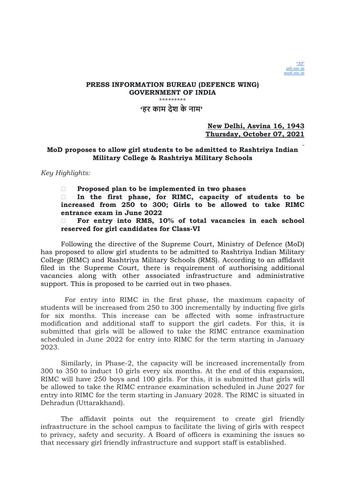

### PRESS INFORMATION BUREAU (DEFENCE WING) GOVERNMENT OF INDIA \*\*\*\*\*\*\*\*\* 'हर काम देश के नाम'

New Delhi, Asvina 16, 1943 Thursday, October 07, 2021

### MoD proposes to allow girl students to be admitted to Rashtriya Indian Military College & Rashtriya Military Schools

#### Key Highlights:

 $\Box$  Proposed plan to be implemented in two phases

 In the first phase, for RIMC, capacity of students to be increased from 250 to 300; Girls to be allowed to take RIMC entrance exam in June 2022

 For entry into RMS, 10% of total vacancies in each school reserved for girl candidates for Class-VI

Following the directive of the Supreme Court, Ministry of Defence (MoD) has proposed to allow girl students to be admitted to Rashtriya Indian Military College (RIMC) and Rashtriya Military Schools (RMS). According to an affidavit filed in the Supreme Court, there is requirement of authorising additional vacancies along with other associated infrastructure and administrative support. This is proposed to be carried out in two phases.

 For entry into RIMC in the first phase, the maximum capacity of students will be increased from 250 to 300 incrementally by inducting five girls for six months. This increase can be affected with some infrastructure modification and additional staff to support the girl cadets. For this, it is submitted that girls will be allowed to take the RIMC entrance examination scheduled in June 2022 for entry into RIMC for the term starting in January 2023.

Similarly, in Phase-2, the capacity will be increased incrementally from 300 to 350 to induct 10 girls every six months. At the end of this expansion, RIMC will have 250 boys and 100 girls. For this, it is submitted that girls will be allowed to take the RIMC entrance examination scheduled in June 2027 for entry into RIMC for the term starting in January 2028. The RIMC is situated in Dehradun (Uttarakhand).

The affidavit points out the requirement to create girl friendly infrastructure in the school campus to facilitate the living of girls with respect to privacy, safety and security. A Board of officers is examining the issues so that necessary girl friendly infrastructure and support staff is established.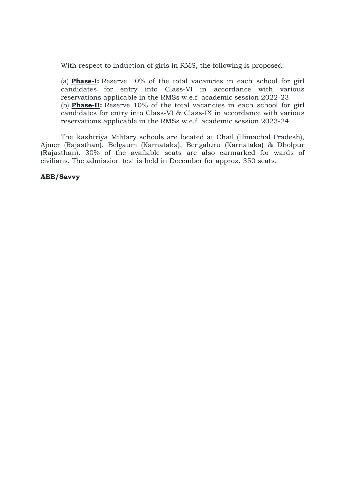With respect to induction of girls in RMS, the following is proposed:

(a) Phase-I: Reserve 10% of the total vacancies in each school for girl candidates for entry into Class-VI in accordance with various reservations applicable in the RMSs w.e.f. academic session 2022-23. (b) Phase-II: Reserve 10% of the total vacancies in each school for girl candidates for entry into Class-VI & Class-IX in accordance with various reservations applicable in the RMSs w.e.f. academic session 2023-24.

The Rashtriya Military schools are located at Chail (Himachal Pradesh), Ajmer (Rajasthan), Belgaum (Karnataka), Bengaluru (Karnataka) & Dholpur (Rajasthan). 30% of the available seats are also earmarked for wards of civilians. The admission test is held in December for approx. 350 seats.

### ABB/Savvy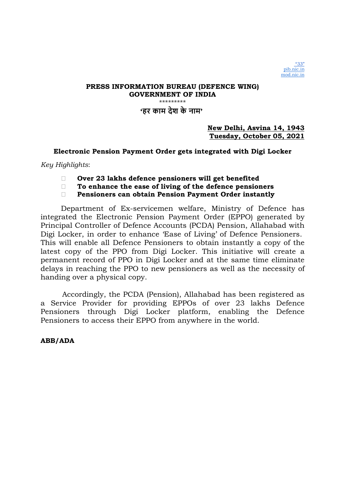### PRESS INFORMATION BUREAU (DEFENCE WING) GOVERNMENT OF INDIA \*\*\*\*\*\*\*\*\*\*\*\*\*\*\* 'हर काम देश के नाम'

## New Delhi, Asvina 14, 1943 Tuesday, October 05, 2021

## Electronic Pension Payment Order gets integrated with Digi Locker

Key Highlights:

- Over 23 lakhs defence pensioners will get benefited
- $\Box$  To enhance the ease of living of the defence pensioners
- Pensioners can obtain Pension Payment Order instantly

Department of Ex-servicemen welfare, Ministry of Defence has integrated the Electronic Pension Payment Order (EPPO) generated by Principal Controller of Defence Accounts (PCDA) Pension, Allahabad with Digi Locker, in order to enhance 'Ease of Living' of Defence Pensioners. This will enable all Defence Pensioners to obtain instantly a copy of the latest copy of the PPO from Digi Locker. This initiative will create a permanent record of PPO in Digi Locker and at the same time eliminate delays in reaching the PPO to new pensioners as well as the necessity of handing over a physical copy.

 Accordingly, the PCDA (Pension), Allahabad has been registered as a Service Provider for providing EPPOs of over 23 lakhs Defence Pensioners through Digi Locker platform, enabling the Defence Pensioners to access their EPPO from anywhere in the world.

ABB/ADA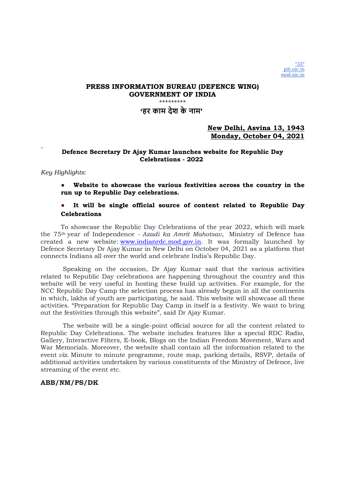## 'हर काम देश के नाम'

### New Delhi, Asvina 13, 1943 Monday, October 04, 2021

### Defence Secretary Dr Ajay Kumar launches website for Republic Day Celebrations - 2022

#### Key Highlights:

Website to showcase the various festivities across the country in the run up to Republic Day celebrations.

### ● It will be single official source of content related to Republic Day **Celebrations**

To showcase the Republic Day Celebrations of the year 2022, which will mark the 75th year of Independence - Azadi ka Amrit Mahotsav, Ministry of Defence has created a new website: www.indianrdc.mod.gov.in. It was formally launched by Defence Secretary Dr Ajay Kumar in New Delhi on October 04, 2021 as a platform that connects Indians all over the world and celebrate India's Republic Day.

 Speaking on the occasion, Dr Ajay Kumar said that the various activities related to Republic Day celebrations are happening throughout the country and this website will be very useful in hosting these build up activities. For example, for the NCC Republic Day Camp the selection process has already begun in all the continents in which, lakhs of youth are participating, he said. This website will showcase all these activities. "Preparation for Republic Day Camp in itself is a festivity. We want to bring out the festivities through this website", said Dr Ajay Kumar.

 The website will be a single-point official source for all the content related to Republic Day Celebrations. The website includes features like a special RDC Radio, Gallery, Interactive Filters, E-book, Blogs on the Indian Freedom Movement, Wars and War Memorials. Moreover, the website shall contain all the information related to the event viz. Minute to minute programme, route map, parking details, RSVP, details of additional activities undertaken by various constituents of the Ministry of Defence, live streaming of the event etc.

#### ABB/NM/PS/DK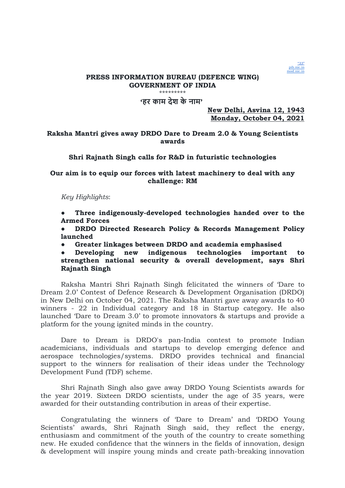

'हर काम देश के नाम'

New Delhi, Asvina 12, 1943 Monday, October 04, 2021

## Raksha Mantri gives away DRDO Dare to Dream 2.0 & Young Scientists awards

## Shri Rajnath Singh calls for R&D in futuristic technologies

## Our aim is to equip our forces with latest machinery to deal with any challenge: RM

Key Highlights:

Three indigenously-developed technologies handed over to the Armed Forces

DRDO Directed Research Policy & Records Management Policy launched

● Greater linkages between DRDO and academia emphasised

Developing new indigenous technologies important to strengthen national security & overall development, says Shri Rajnath Singh

Raksha Mantri Shri Rajnath Singh felicitated the winners of 'Dare to Dream 2.0' Contest of Defence Research & Development Organisation (DRDO) in New Delhi on October 04, 2021. The Raksha Mantri gave away awards to 40 winners - 22 in Individual category and 18 in Startup category. He also launched 'Dare to Dream 3.0' to promote innovators & startups and provide a platform for the young ignited minds in the country.

Dare to Dream is DRDO's pan-India contest to promote Indian academicians, individuals and startups to develop emerging defence and aerospace technologies/systems. DRDO provides technical and financial support to the winners for realisation of their ideas under the Technology Development Fund (TDF) scheme.

Shri Rajnath Singh also gave away DRDO Young Scientists awards for the year 2019. Sixteen DRDO scientists, under the age of 35 years, were awarded for their outstanding contribution in areas of their expertise.

Congratulating the winners of 'Dare to Dream' and 'DRDO Young Scientists' awards, Shri Rajnath Singh said, they reflect the energy, enthusiasm and commitment of the youth of the country to create something new. He exuded confidence that the winners in the fields of innovation, design & development will inspire young minds and create path-breaking innovation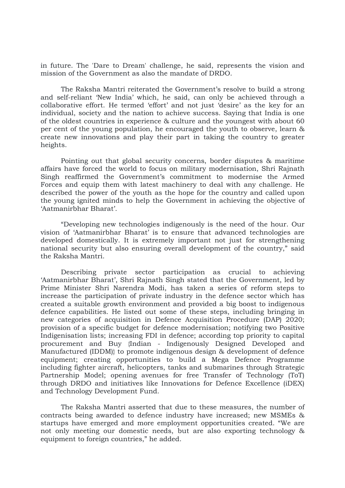in future. The 'Dare to Dream' challenge, he said, represents the vision and mission of the Government as also the mandate of DRDO.

The Raksha Mantri reiterated the Government's resolve to build a strong and self-reliant 'New India' which, he said, can only be achieved through a collaborative effort. He termed 'effort' and not just 'desire' as the key for an individual, society and the nation to achieve success. Saying that India is one of the oldest countries in experience & culture and the youngest with about 60 per cent of the young population, he encouraged the youth to observe, learn & create new innovations and play their part in taking the country to greater heights.

Pointing out that global security concerns, border disputes & maritime affairs have forced the world to focus on military modernisation, Shri Rajnath Singh reaffirmed the Government's commitment to modernise the Armed Forces and equip them with latest machinery to deal with any challenge. He described the power of the youth as the hope for the country and called upon the young ignited minds to help the Government in achieving the objective of 'Aatmanirbhar Bharat'.

"Developing new technologies indigenously is the need of the hour. Our vision of 'Aatmanirbhar Bharat' is to ensure that advanced technologies are developed domestically. It is extremely important not just for strengthening national security but also ensuring overall development of the country," said the Raksha Mantri.

Describing private sector participation as crucial to achieving 'Aatmanirbhar Bharat', Shri Rajnath Singh stated that the Government, led by Prime Minister Shri Narendra Modi, has taken a series of reform steps to increase the participation of private industry in the defence sector which has created a suitable growth environment and provided a big boost to indigenous defence capabilities. He listed out some of these steps, including bringing in new categories of acquisition in Defence Acquisition Procedure (DAP) 2020; provision of a specific budget for defence modernisation; notifying two Positive Indigenisation lists; increasing FDI in defence; according top priority to capital procurement and Buy {Indian - Indigenously Designed Developed and Manufactured (IDDM)} to promote indigenous design & development of defence equipment; creating opportunities to build a Mega Defence Programme including fighter aircraft, helicopters, tanks and submarines through Strategic Partnership Model; opening avenues for free Transfer of Technology (ToT) through DRDO and initiatives like Innovations for Defence Excellence (iDEX) and Technology Development Fund.

The Raksha Mantri asserted that due to these measures, the number of contracts being awarded to defence industry have increased; new MSMEs & startups have emerged and more employment opportunities created. "We are not only meeting our domestic needs, but are also exporting technology & equipment to foreign countries," he added.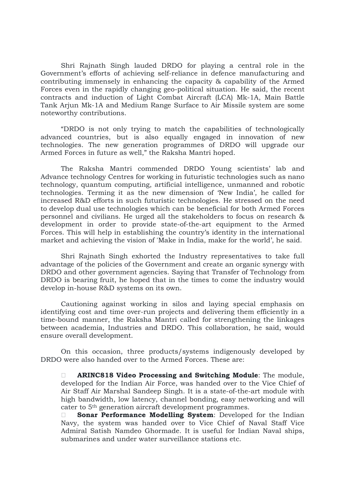Shri Rajnath Singh lauded DRDO for playing a central role in the Government's efforts of achieving self-reliance in defence manufacturing and contributing immensely in enhancing the capacity & capability of the Armed Forces even in the rapidly changing geo-political situation. He said, the recent contracts and induction of Light Combat Aircraft (LCA) Mk-1A, Main Battle Tank Arjun Mk-1A and Medium Range Surface to Air Missile system are some noteworthy contributions.

"DRDO is not only trying to match the capabilities of technologically advanced countries, but is also equally engaged in innovation of new technologies. The new generation programmes of DRDO will upgrade our Armed Forces in future as well," the Raksha Mantri hoped.

The Raksha Mantri commended DRDO Young scientists' lab and Advance technology Centres for working in futuristic technologies such as nano technology, quantum computing, artificial intelligence, unmanned and robotic technologies. Terming it as the new dimension of 'New India', he called for increased R&D efforts in such futuristic technologies. He stressed on the need to develop dual use technologies which can be beneficial for both Armed Forces personnel and civilians. He urged all the stakeholders to focus on research & development in order to provide state-of-the-art equipment to the Armed Forces. This will help in establishing the country's identity in the international market and achieving the vision of 'Make in India, make for the world', he said.

Shri Rajnath Singh exhorted the Industry representatives to take full advantage of the policies of the Government and create an organic synergy with DRDO and other government agencies. Saying that Transfer of Technology from DRDO is bearing fruit, he hoped that in the times to come the industry would develop in-house R&D systems on its own.

Cautioning against working in silos and laying special emphasis on identifying cost and time over-run projects and delivering them efficiently in a time-bound manner, the Raksha Mantri called for strengthening the linkages between academia, Industries and DRDO. This collaboration, he said, would ensure overall development.

On this occasion, three products/systems indigenously developed by DRDO were also handed over to the Armed Forces. These are:

 ARINC818 Video Processing and Switching Module: The module, developed for the Indian Air Force, was handed over to the Vice Chief of Air Staff Air Marshal Sandeep Singh. It is a state-of-the-art module with high bandwidth, low latency, channel bonding, easy networking and will cater to 5th generation aircraft development programmes.

**Sonar Performance Modelling System:** Developed for the Indian Navy, the system was handed over to Vice Chief of Naval Staff Vice Admiral Satish Namdeo Ghormade. It is useful for Indian Naval ships, submarines and under water surveillance stations etc.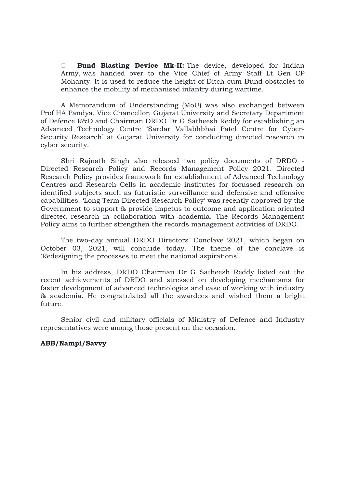**Bund Blasting Device Mk-II:** The device, developed for Indian Army, was handed over to the Vice Chief of Army Staff Lt Gen CP Mohanty. It is used to reduce the height of Ditch-cum-Bund obstacles to enhance the mobility of mechanised infantry during wartime.

A Memorandum of Understanding (MoU) was also exchanged between Prof HA Pandya, Vice Chancellor, Gujarat University and Secretary Department of Defence R&D and Chairman DRDO Dr G Satheesh Reddy for establishing an Advanced Technology Centre 'Sardar Vallabhbhai Patel Centre for Cyber-Security Research' at Gujarat University for conducting directed research in cyber security.

Shri Rajnath Singh also released two policy documents of DRDO - Directed Research Policy and Records Management Policy 2021. Directed Research Policy provides framework for establishment of Advanced Technology Centres and Research Cells in academic institutes for focussed research on identified subjects such as futuristic surveillance and defensive and offensive capabilities. 'Long Term Directed Research Policy' was recently approved by the Government to support & provide impetus to outcome and application oriented directed research in collaboration with academia. The Records Management Policy aims to further strengthen the records management activities of DRDO.

The two-day annual DRDO Directors' Conclave 2021, which began on October 03, 2021, will conclude today. The theme of the conclave is 'Redesigning the processes to meet the national aspirations'.

In his address, DRDO Chairman Dr G Satheesh Reddy listed out the recent achievements of DRDO and stressed on developing mechanisms for faster development of advanced technologies and ease of working with industry & academia. He congratulated all the awardees and wished them a bright future.

Senior civil and military officials of Ministry of Defence and Industry representatives were among those present on the occasion.

### ABB/Nampi/Savvy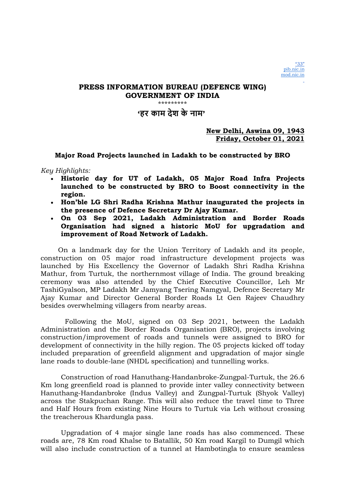'हर काम देश के नाम'

New Delhi, Aswina 09, 1943 Friday, October 01, 2021

Major Road Projects launched in Ladakh to be constructed by BRO

Key Highlights:

- Historic day for UT of Ladakh, 05 Major Road Infra Projects launched to be constructed by BRO to Boost connectivity in the region.
- Hon'ble LG Shri Radha Krishna Mathur inaugurated the projects in the presence of Defence Secretary Dr Ajay Kumar.
- On 03 Sep 2021, Ladakh Administration and Border Roads Organisation had signed a historic MoU for upgradation and improvement of Road Network of Ladakh.

On a landmark day for the Union Territory of Ladakh and its people, construction on 05 major road infrastructure development projects was launched by His Excellency the Governor of Ladakh Shri Radha Krishna Mathur, from Turtuk, the northernmost village of India. The ground breaking ceremony was also attended by the Chief Executive Councillor, Leh Mr TashiGyalson, MP Ladakh Mr Jamyang Tsering Namgyal, Defence Secretary Mr Ajay Kumar and Director General Border Roads Lt Gen Rajeev Chaudhry besides overwhelming villagers from nearby areas.

 Following the MoU, signed on 03 Sep 2021, between the Ladakh Administration and the Border Roads Organisation (BRO), projects involving construction/improvement of roads and tunnels were assigned to BRO for development of connectivity in the hilly region. The 05 projects kicked off today included preparation of greenfield alignment and upgradation of major single lane roads to double-lane (NHDL specification) and tunnelling works.

Construction of road Hanuthang-Handanbroke-Zungpal-Turtuk, the 26.6 Km long greenfield road is planned to provide inter valley connectivity between Hanuthang-Handanbroke (Indus Valley) and Zungpal-Turtuk (Shyok Valley) across the Stakpuchan Range. This will also reduce the travel time to Three and Half Hours from existing Nine Hours to Turtuk via Leh without crossing the treacherous Khardungla pass.

Upgradation of 4 major single lane roads has also commenced. These roads are, 78 Km road Khalse to Batallik, 50 Km road Kargil to Dumgil which will also include construction of a tunnel at Hambotingla to ensure seamless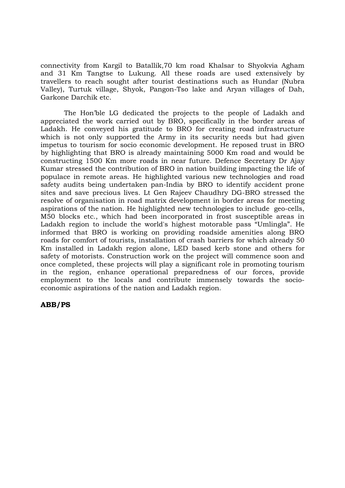connectivity from Kargil to Batallik,70 km road Khalsar to Shyokvia Agham and 31 Km Tangtse to Lukung. All these roads are used extensively by travellers to reach sought after tourist destinations such as Hundar (Nubra Valley), Turtuk village, Shyok, Pangon-Tso lake and Aryan villages of Dah, Garkone Darchik etc.

 The Hon'ble LG dedicated the projects to the people of Ladakh and appreciated the work carried out by BRO, specifically in the border areas of Ladakh. He conveyed his gratitude to BRO for creating road infrastructure which is not only supported the Army in its security needs but had given impetus to tourism for socio economic development. He reposed trust in BRO by highlighting that BRO is already maintaining 5000 Km road and would be constructing 1500 Km more roads in near future. Defence Secretary Dr Ajay Kumar stressed the contribution of BRO in nation building impacting the life of populace in remote areas. He highlighted various new technologies and road safety audits being undertaken pan-India by BRO to identify accident prone sites and save precious lives. Lt Gen Rajeev Chaudhry DG-BRO stressed the resolve of organisation in road matrix development in border areas for meeting aspirations of the nation. He highlighted new technologies to include geo-cells, M50 blocks etc., which had been incorporated in frost susceptible areas in Ladakh region to include the world's highest motorable pass "Umlingla". He informed that BRO is working on providing roadside amenities along BRO roads for comfort of tourists, installation of crash barriers for which already 50 Km installed in Ladakh region alone, LED based kerb stone and others for safety of motorists. Construction work on the project will commence soon and once completed, these projects will play a significant role in promoting tourism in the region, enhance operational preparedness of our forces, provide employment to the locals and contribute immensely towards the socioeconomic aspirations of the nation and Ladakh region.

## ABB/PS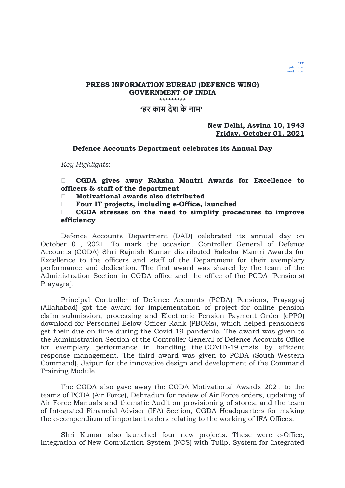

### PRESS INFORMATION BUREAU (DEFENCE WING) GOVERNMENT OF INDIA \*\*\*\*\*\*\*\*\* 'हर काम देश के नाम'

### New Delhi, Asvina 10, 1943 Friday, October 01, 2021

### Defence Accounts Department celebrates its Annual Day

Key Highlights:

 CGDA gives away Raksha Mantri Awards for Excellence to officers & staff of the department

Motivational awards also distributed

Four IT projects, including e-Office, launched

 CGDA stresses on the need to simplify procedures to improve efficiency

Defence Accounts Department (DAD) celebrated its annual day on October 01, 2021. To mark the occasion, Controller General of Defence Accounts (CGDA) Shri Rajnish Kumar distributed Raksha Mantri Awards for Excellence to the officers and staff of the Department for their exemplary performance and dedication. The first award was shared by the team of the Administration Section in CGDA office and the office of the PCDA (Pensions) Prayagraj.

Principal Controller of Defence Accounts (PCDA) Pensions, Prayagraj (Allahabad) got the award for implementation of project for online pension claim submission, processing and Electronic Pension Payment Order (ePPO) download for Personnel Below Officer Rank (PBORs), which helped pensioners get their due on time during the Covid-19 pandemic. The award was given to the Administration Section of the Controller General of Defence Accounts Office for exemplary performance in handling the COVID-19 crisis by efficient response management. The third award was given to PCDA (South-Western Command), Jaipur for the innovative design and development of the Command Training Module.

The CGDA also gave away the CGDA Motivational Awards 2021 to the teams of PCDA (Air Force), Dehradun for review of Air Force orders, updating of Air Force Manuals and thematic Audit on provisioning of stores; and the team of Integrated Financial Adviser (IFA) Section, CGDA Headquarters for making the e-compendium of important orders relating to the working of IFA Offices.

Shri Kumar also launched four new projects. These were e-Office, integration of New Compilation System (NCS) with Tulip, System for Integrated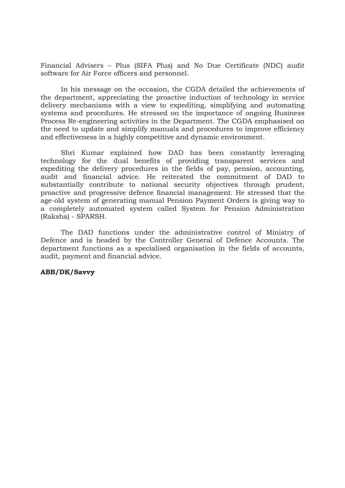Financial Advisers – Plus (SIFA Plus) and No Due Certificate (NDC) audit software for Air Force officers and personnel.

In his message on the occasion, the CGDA detailed the achievements of the department, appreciating the proactive induction of technology in service delivery mechanisms with a view to expediting, simplifying and automating systems and procedures. He stressed on the importance of ongoing Business Process Re-engineering activities in the Department. The CGDA emphasised on the need to update and simplify manuals and procedures to improve efficiency and effectiveness in a highly competitive and dynamic environment.

Shri Kumar explained how DAD has been constantly leveraging technology for the dual benefits of providing transparent services and expediting the delivery procedures in the fields of pay, pension, accounting, audit and financial advice. He reiterated the commitment of DAD to substantially contribute to national security objectives through prudent, proactive and progressive defence financial management. He stressed that the age-old system of generating manual Pension Payment Orders is giving way to a completely automated system called System for Pension Administration (Raksha) - SPARSH.

The DAD functions under the administrative control of Ministry of Defence and is headed by the Controller General of Defence Accounts. The department functions as a specialised organisation in the fields of accounts, audit, payment and financial advice.

#### ABB/DK/Savvy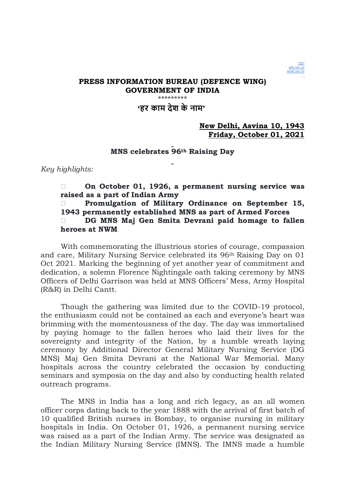

#### PRESS INFORMATION BUREAU (DEFENCE WING) GOVERNMENT OF INDIA \*\*\*\*\*\*\*\*\*\*\*\*\*

# 'हर काम देश के नाम'

# New Delhi, Asvina 10, 1943 Friday, October 01, 2021

### MNS celebrates 96th Raising Day

Key highlights:

 On October 01, 1926, a permanent nursing service was raised as a part of Indian Army Promulgation of Military Ordinance on September 15, 1943 permanently established MNS as part of Armed Forces DG MNS Maj Gen Smita Devrani paid homage to fallen heroes at NWM

With commemorating the illustrious stories of courage, compassion and care, Military Nursing Service celebrated its 96th Raising Day on 01 Oct 2021. Marking the beginning of yet another year of commitment and dedication, a solemn Florence Nightingale oath taking ceremony by MNS Officers of Delhi Garrison was held at MNS Officers' Mess, Army Hospital (R&R) in Delhi Cantt.

Though the gathering was limited due to the COVID-19 protocol, the enthusiasm could not be contained as each and everyone's heart was brimming with the momentousness of the day. The day was immortalised by paying homage to the fallen heroes who laid their lives for the sovereignty and integrity of the Nation, by a humble wreath laying ceremony by Additional Director General Military Nursing Service (DG MNS) Maj Gen Smita Devrani at the National War Memorial. Many hospitals across the country celebrated the occasion by conducting seminars and symposia on the day and also by conducting health related outreach programs.

The MNS in India has a long and rich legacy, as an all women officer corps dating back to the year 1888 with the arrival of first batch of 10 qualified British nurses in Bombay, to organise nursing in military hospitals in India. On October 01, 1926, a permanent nursing service was raised as a part of the Indian Army. The service was designated as the Indian Military Nursing Service (IMNS). The IMNS made a humble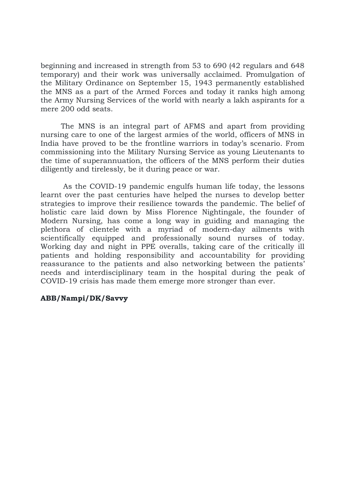beginning and increased in strength from 53 to 690 (42 regulars and 648 temporary) and their work was universally acclaimed. Promulgation of the Military Ordinance on September 15, 1943 permanently established the MNS as a part of the Armed Forces and today it ranks high among the Army Nursing Services of the world with nearly a lakh aspirants for a mere 200 odd seats.

The MNS is an integral part of AFMS and apart from providing nursing care to one of the largest armies of the world, officers of MNS in India have proved to be the frontline warriors in today's scenario. From commissioning into the Military Nursing Service as young Lieutenants to the time of superannuation, the officers of the MNS perform their duties diligently and tirelessly, be it during peace or war.

 As the COVID-19 pandemic engulfs human life today, the lessons learnt over the past centuries have helped the nurses to develop better strategies to improve their resilience towards the pandemic. The belief of holistic care laid down by Miss Florence Nightingale, the founder of Modern Nursing, has come a long way in guiding and managing the plethora of clientele with a myriad of modern-day ailments with scientifically equipped and professionally sound nurses of today. Working day and night in PPE overalls, taking care of the critically ill patients and holding responsibility and accountability for providing reassurance to the patients and also networking between the patients' needs and interdisciplinary team in the hospital during the peak of COVID-19 crisis has made them emerge more stronger than ever.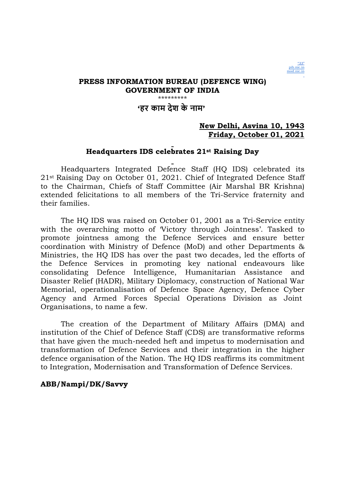

### PRESS INFORMATION BUREAU (DEFENCE WING) GOVERNMENT OF INDIA \*\*\*\*\*\*\*\*\*\*\* 'हर काम देश के नाम'

### New Delhi, Asvina 10, 1943 Friday, October 01, 2021

#### Headquarters IDS celebrates 21st Raising Day

Headquarters Integrated Defence Staff (HQ IDS) celebrated its 21st Raising Day on October 01, 2021. Chief of Integrated Defence Staff to the Chairman, Chiefs of Staff Committee (Air Marshal BR Krishna) extended felicitations to all members of the Tri-Service fraternity and their families.

The HQ IDS was raised on October 01, 2001 as a Tri-Service entity with the overarching motto of 'Victory through Jointness'. Tasked to promote jointness among the Defence Services and ensure better coordination with Ministry of Defence (MoD) and other Departments & Ministries, the HQ IDS has over the past two decades, led the efforts of the Defence Services in promoting key national endeavours like consolidating Defence Intelligence, Humanitarian Assistance and Disaster Relief (HADR), Military Diplomacy, construction of National War Memorial, operationalisation of Defence Space Agency, Defence Cyber Agency and Armed Forces Special Operations Division as Joint Organisations, to name a few.

The creation of the Department of Military Affairs (DMA) and institution of the Chief of Defence Staff (CDS) are transformative reforms that have given the much-needed heft and impetus to modernisation and transformation of Defence Services and their integration in the higher defence organisation of the Nation. The HQ IDS reaffirms its commitment to Integration, Modernisation and Transformation of Defence Services.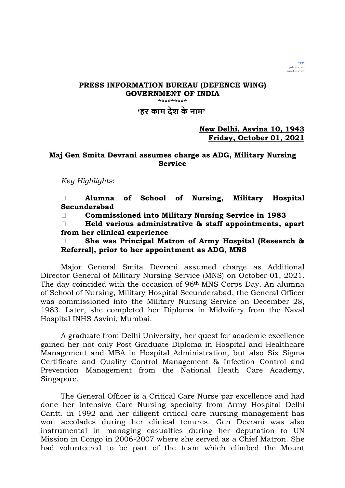

# PRESS INFORMATION BUREAU (DEFENCE WING) GOVERNMENT OF INDIA

.<br>ماه ماه ماه ماه ماه ماه ماه ماه ماه

# 'हर काम देश के नाम'

# New Delhi, Asvina 10, 1943 Friday, October 01, 2021

## Maj Gen Smita Devrani assumes charge as ADG, Military Nursing **Service**

Key Highlights:

 Alumna of School of Nursing, Military Hospital Secunderabad

Commissioned into Military Nursing Service in 1983

 Held various administrative & staff appointments, apart from her clinical experience

□ She was Principal Matron of Army Hospital (Research & Referral), prior to her appointment as ADG, MNS

Major General Smita Devrani assumed charge as Additional Director General of Military Nursing Service (MNS) on October 01, 2021. The day coincided with the occasion of 96th MNS Corps Day. An alumna of School of Nursing, Military Hospital Secunderabad, the General Officer was commissioned into the Military Nursing Service on December 28, 1983. Later, she completed her Diploma in Midwifery from the Naval Hospital INHS Asvini, Mumbai.

A graduate from Delhi University, her quest for academic excellence gained her not only Post Graduate Diploma in Hospital and Healthcare Management and MBA in Hospital Administration, but also Six Sigma Certificate and Quality Control Management & Infection Control and Prevention Management from the National Heath Care Academy, Singapore.

The General Officer is a Critical Care Nurse par excellence and had done her Intensive Care Nursing specialty from Army Hospital Delhi Cantt. in 1992 and her diligent critical care nursing management has won accolades during her clinical tenures. Gen Devrani was also instrumental in managing casualties during her deputation to UN Mission in Congo in 2006-2007 where she served as a Chief Matron. She had volunteered to be part of the team which climbed the Mount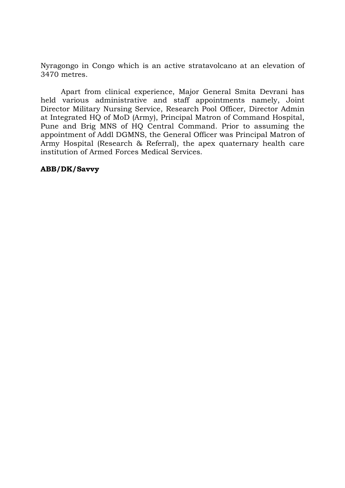Nyragongo in Congo which is an active stratavolcano at an elevation of 3470 metres.

Apart from clinical experience, Major General Smita Devrani has held various administrative and staff appointments namely, Joint Director Military Nursing Service, Research Pool Officer, Director Admin at Integrated HQ of MoD (Army), Principal Matron of Command Hospital, Pune and Brig MNS of HQ Central Command. Prior to assuming the appointment of Addl DGMNS, the General Officer was Principal Matron of Army Hospital (Research & Referral), the apex quaternary health care institution of Armed Forces Medical Services.

# ABB/DK/Savvy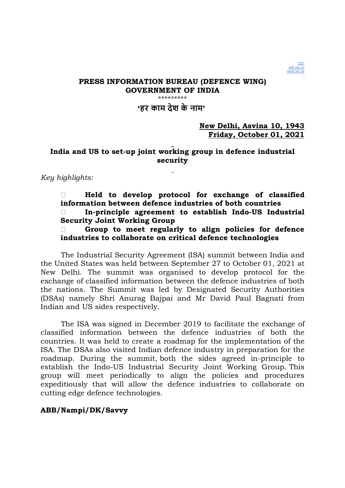

#### PRESS INFORMATION BUREAU (DEFENCE WING) GOVERNMENT OF INDIA \*\*\*\*\*\*\*\*\*\*\*\*\*\*

# 'हर काम देश के नाम'

# New Delhi, Asvina 10, 1943 Friday, October 01, 2021

# India and US to set-up joint working group in defence industrial security

Key highlights:

 Held to develop protocol for exchange of classified information between defence industries of both countries In-principle agreement to establish Indo-US Industrial Security Joint Working Group

 $\Box$  Group to meet regularly to align policies for defence industries to collaborate on critical defence technologies

The Industrial Security Agreement (ISA) summit between India and the United States was held between September 27 to October 01, 2021 at New Delhi. The summit was organised to develop protocol for the exchange of classified information between the defence industries of both the nations. The Summit was led by Designated Security Authorities (DSAs) namely Shri Anurag Bajpai and Mr David Paul Bagnati from Indian and US sides respectively.

The ISA was signed in December 2019 to facilitate the exchange of classified information between the defence industries of both the countries. It was held to create a roadmap for the implementation of the ISA. The DSAs also visited Indian defence industry in preparation for the roadmap. During the summit, both the sides agreed in-principle to establish the Indo-US Industrial Security Joint Working Group. This group will meet periodically to align the policies and procedures expeditiously that will allow the defence industries to collaborate on cutting edge defence technologies.